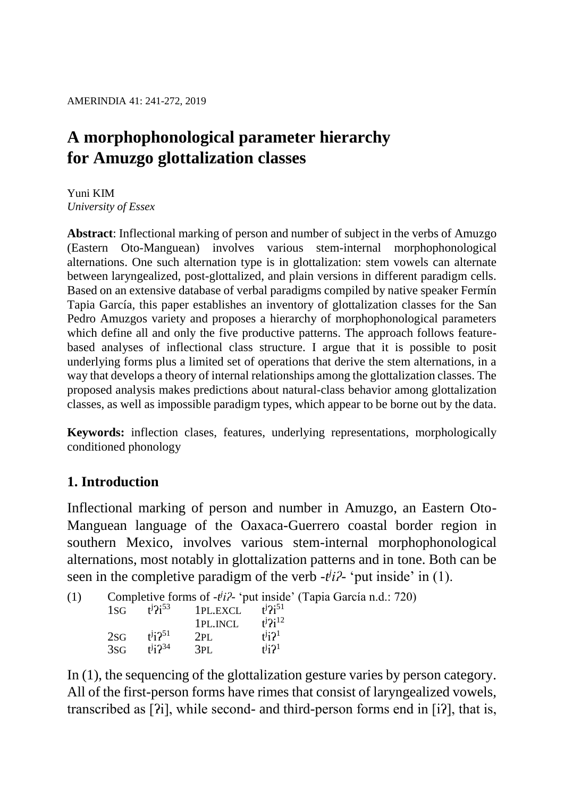# **A morphophonological parameter hierarchy for Amuzgo glottalization classes**

Yuni KIM *University of Essex*

**Abstract**: Inflectional marking of person and number of subject in the verbs of Amuzgo (Eastern Oto-Manguean) involves various stem-internal morphophonological alternations. One such alternation type is in glottalization: stem vowels can alternate between laryngealized, post-glottalized, and plain versions in different paradigm cells. Based on an extensive database of verbal paradigms compiled by native speaker Fermín Tapia García, this paper establishes an inventory of glottalization classes for the San Pedro Amuzgos variety and proposes a hierarchy of morphophonological parameters which define all and only the five productive patterns. The approach follows featurebased analyses of inflectional class structure. I argue that it is possible to posit underlying forms plus a limited set of operations that derive the stem alternations, in a way that develops a theory of internal relationships among the glottalization classes. The proposed analysis makes predictions about natural-class behavior among glottalization classes, as well as impossible paradigm types, which appear to be borne out by the data.

**Keywords:** inflection clases, features, underlying representations, morphologically conditioned phonology

## **1. Introduction**

Inflectional marking of person and number in Amuzgo, an Eastern Oto-Manguean language of the Oaxaca-Guerrero coastal border region in southern Mexico, involves various stem-internal morphophonological alternations, most notably in glottalization patterns and in tone. Both can be seen in the completive paradigm of the verb  $-i^j i^j$ - 'put inside' in (1).

| (1) |  | Completive forms of $-i^{j}i$ ? 'put inside' (Tapia García n.d.: 720) |  |  |
|-----|--|-----------------------------------------------------------------------|--|--|
|     |  | $18C$ $t^{j}$ $2^{t}$ $3^{t}$ $18V$ $t^{j}$ $t^{j}$ $2^{t}$ $t^{j}$   |  |  |

| 1SG    | $t^j$ ? $i^{53}$   | 1PL.EXCL | $t^{j}$ ?i <sup>51</sup> |
|--------|--------------------|----------|--------------------------|
|        |                    | 1PL.INCL | $t^j$ ? $i^{12}$         |
| $2$ SG | $1^{j}$ i $2^{51}$ | 2PI.     | $t^{j}$ i $2^{1}$        |
| 3sg    | $1^{j}$ i $2^{34}$ | 3PL      | $t^{j}$ i? <sup>1</sup>  |

In (1), the sequencing of the glottalization gesture varies by person category. All of the first-person forms have rimes that consist of laryngealized vowels, transcribed as [ʔi], while second- and third-person forms end in [iʔ], that is,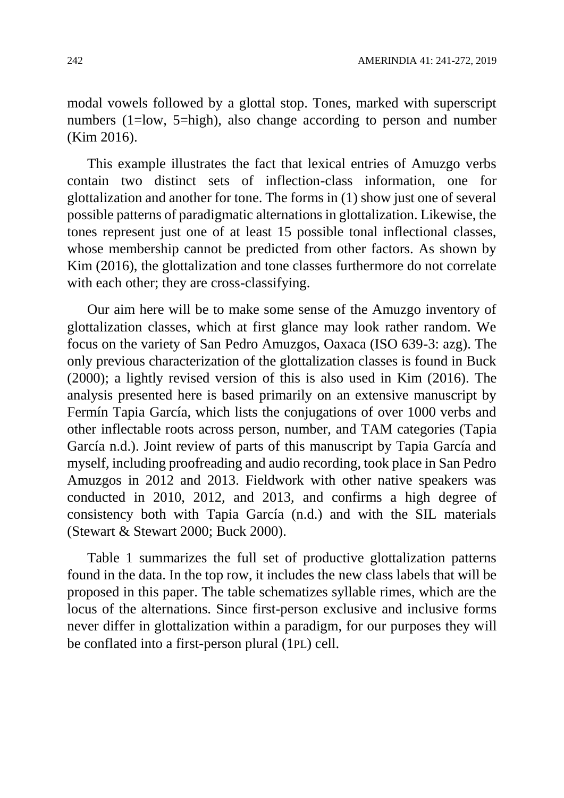modal vowels followed by a glottal stop. Tones, marked with superscript numbers (1=low, 5=high), also change according to person and number (Kim 2016).

This example illustrates the fact that lexical entries of Amuzgo verbs contain two distinct sets of inflection-class information, one for glottalization and another for tone. The forms in (1) show just one of several possible patterns of paradigmatic alternations in glottalization. Likewise, the tones represent just one of at least 15 possible tonal inflectional classes, whose membership cannot be predicted from other factors. As shown by Kim (2016), the glottalization and tone classes furthermore do not correlate with each other; they are cross-classifying.

Our aim here will be to make some sense of the Amuzgo inventory of glottalization classes, which at first glance may look rather random. We focus on the variety of San Pedro Amuzgos, Oaxaca (ISO 639-3: azg). The only previous characterization of the glottalization classes is found in Buck (2000); a lightly revised version of this is also used in Kim (2016). The analysis presented here is based primarily on an extensive manuscript by Fermín Tapia García, which lists the conjugations of over 1000 verbs and other inflectable roots across person, number, and TAM categories (Tapia García n.d.). Joint review of parts of this manuscript by Tapia García and myself, including proofreading and audio recording, took place in San Pedro Amuzgos in 2012 and 2013. Fieldwork with other native speakers was conducted in 2010, 2012, and 2013, and confirms a high degree of consistency both with Tapia García (n.d.) and with the SIL materials (Stewart & Stewart 2000; Buck 2000).

Table 1 summarizes the full set of productive glottalization patterns found in the data. In the top row, it includes the new class labels that will be proposed in this paper. The table schematizes syllable rimes, which are the locus of the alternations. Since first-person exclusive and inclusive forms never differ in glottalization within a paradigm, for our purposes they will be conflated into a first-person plural (1PL) cell.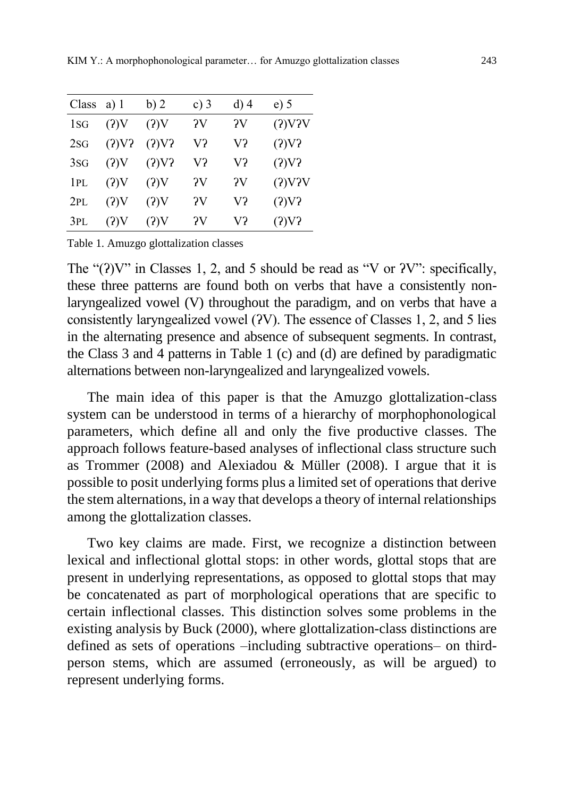| Class | $a)$ 1   | b)2   | c) $3$ | $d)$ 4       | $e)$ 5   |
|-------|----------|-------|--------|--------------|----------|
| 1sg   | $(2)$ V  | (2)V  | ?V     | $\gamma_{V}$ | (2)V2V   |
| 2SG   | $(2)V$ ? | (2)V2 | V?     | V?           | $(2)V$ ? |
| 3SG   | (2)V     | (2)V2 | V?     | V?           | (2)V2    |
| 1PL   | $(2)$ V  | (?)V  | ?V     | $\gamma_{V}$ | (2)V2V   |
| 2PL   | (2)V     | (2)V  | ?V     | V?           | (2)V2    |
| 3PL   | (?)V     | (2)V  | ЭV     | V?           | (2)V2    |

Table 1. Amuzgo glottalization classes

The " $(?)V"$  in Classes 1, 2, and 5 should be read as "V or  $?V"$ : specifically, these three patterns are found both on verbs that have a consistently nonlaryngealized vowel (V) throughout the paradigm, and on verbs that have a consistently laryngealized vowel (ʔV). The essence of Classes 1, 2, and 5 lies in the alternating presence and absence of subsequent segments. In contrast, the Class 3 and 4 patterns in Table 1 (c) and (d) are defined by paradigmatic alternations between non-laryngealized and laryngealized vowels.

The main idea of this paper is that the Amuzgo glottalization-class system can be understood in terms of a hierarchy of morphophonological parameters, which define all and only the five productive classes. The approach follows feature-based analyses of inflectional class structure such as Trommer (2008) and Alexiadou & Müller (2008). I argue that it is possible to posit underlying forms plus a limited set of operations that derive the stem alternations, in a way that develops a theory of internal relationships among the glottalization classes.

Two key claims are made. First, we recognize a distinction between lexical and inflectional glottal stops: in other words, glottal stops that are present in underlying representations, as opposed to glottal stops that may be concatenated as part of morphological operations that are specific to certain inflectional classes. This distinction solves some problems in the existing analysis by Buck (2000), where glottalization-class distinctions are defined as sets of operations –including subtractive operations– on thirdperson stems, which are assumed (erroneously, as will be argued) to represent underlying forms.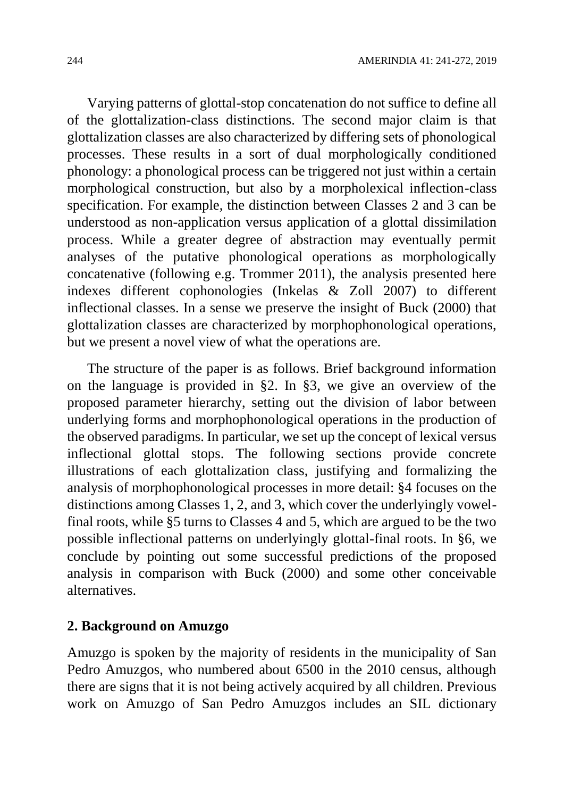Varying patterns of glottal-stop concatenation do not suffice to define all of the glottalization-class distinctions. The second major claim is that glottalization classes are also characterized by differing sets of phonological processes. These results in a sort of dual morphologically conditioned phonology: a phonological process can be triggered not just within a certain morphological construction, but also by a morpholexical inflection-class specification. For example, the distinction between Classes 2 and 3 can be understood as non-application versus application of a glottal dissimilation process. While a greater degree of abstraction may eventually permit analyses of the putative phonological operations as morphologically concatenative (following e.g. Trommer 2011), the analysis presented here indexes different cophonologies (Inkelas & Zoll 2007) to different inflectional classes. In a sense we preserve the insight of Buck (2000) that glottalization classes are characterized by morphophonological operations, but we present a novel view of what the operations are.

The structure of the paper is as follows. Brief background information on the language is provided in §2. In §3, we give an overview of the proposed parameter hierarchy, setting out the division of labor between underlying forms and morphophonological operations in the production of the observed paradigms. In particular, we set up the concept of lexical versus inflectional glottal stops. The following sections provide concrete illustrations of each glottalization class, justifying and formalizing the analysis of morphophonological processes in more detail: §4 focuses on the distinctions among Classes 1, 2, and 3, which cover the underlyingly vowelfinal roots, while §5 turns to Classes 4 and 5, which are argued to be the two possible inflectional patterns on underlyingly glottal-final roots. In §6, we conclude by pointing out some successful predictions of the proposed analysis in comparison with Buck (2000) and some other conceivable alternatives.

#### **2. Background on Amuzgo**

Amuzgo is spoken by the majority of residents in the municipality of San Pedro Amuzgos, who numbered about 6500 in the 2010 census, although there are signs that it is not being actively acquired by all children. Previous work on Amuzgo of San Pedro Amuzgos includes an SIL dictionary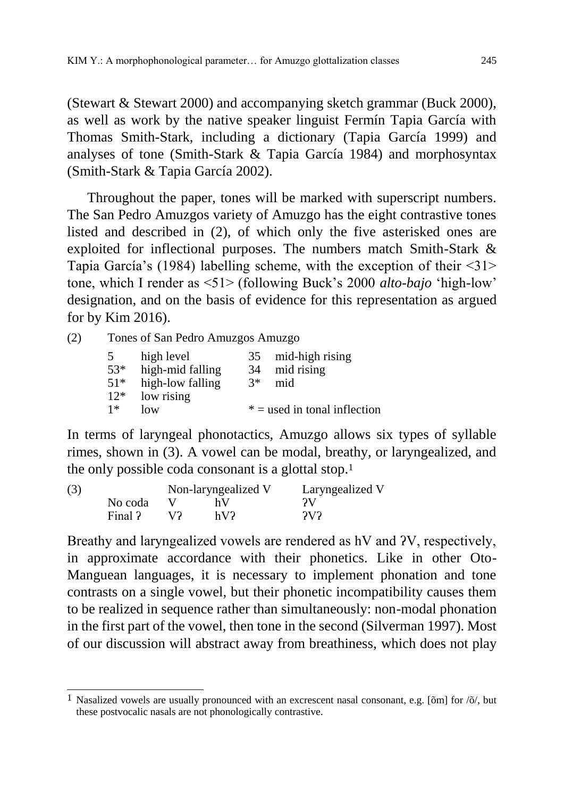(Stewart & Stewart 2000) and accompanying sketch grammar (Buck 2000), as well as work by the native speaker linguist Fermín Tapia García with Thomas Smith-Stark, including a dictionary (Tapia García 1999) and analyses of tone (Smith-Stark & Tapia García 1984) and morphosyntax (Smith-Stark & Tapia García 2002).

Throughout the paper, tones will be marked with superscript numbers. The San Pedro Amuzgos variety of Amuzgo has the eight contrastive tones listed and described in (2), of which only the five asterisked ones are exploited for inflectional purposes. The numbers match Smith-Stark & Tapia García's (1984) labelling scheme, with the exception of their <31> tone, which I render as <51> (following Buck's 2000 *alto-bajo* 'high-low' designation, and on the basis of evidence for this representation as argued for by Kim 2016).

(2) Tones of San Pedro Amuzgos Amuzgo

| 5     | high level       | 35   | mid-high rising                |
|-------|------------------|------|--------------------------------|
| 53*   | high-mid falling | 34   | mid rising                     |
| $51*$ | high-low falling | $3*$ | mid                            |
| $12*$ | low rising       |      |                                |
| $1*$  | low              |      | $* =$ used in tonal inflection |

In terms of laryngeal phonotactics, Amuzgo allows six types of syllable rimes, shown in (3). A vowel can be modal, breathy, or laryngealized, and the only possible coda consonant is a glottal stop.<sup>1</sup>

| (3) |         |    | Non-laryngealized V | Laryngealized V |
|-----|---------|----|---------------------|-----------------|
|     | No coda |    | hV                  | ЭV              |
|     | Final ? | V2 | hV2                 | 2V              |

Breathy and laryngealized vowels are rendered as hV and ʔV, respectively, in approximate accordance with their phonetics. Like in other Oto-Manguean languages, it is necessary to implement phonation and tone contrasts on a single vowel, but their phonetic incompatibility causes them to be realized in sequence rather than simultaneously: non-modal phonation in the first part of the vowel, then tone in the second (Silverman 1997). Most of our discussion will abstract away from breathiness, which does not play

 $\overline{a}$ <sup>1</sup> Nasalized vowels are usually pronounced with an excrescent nasal consonant, e.g. [ $\delta$ m] for  $\delta$ , but these postvocalic nasals are not phonologically contrastive.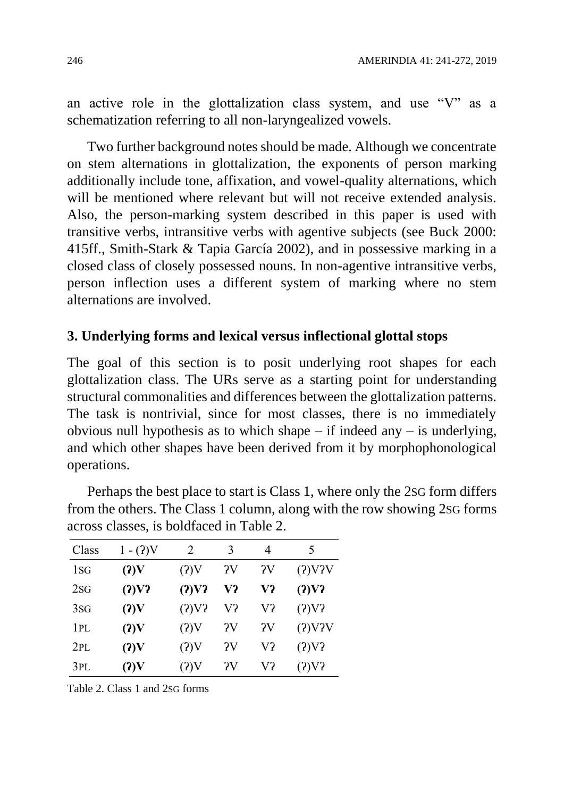an active role in the glottalization class system, and use "V" as a schematization referring to all non-laryngealized vowels.

Two further background notes should be made. Although we concentrate on stem alternations in glottalization, the exponents of person marking additionally include tone, affixation, and vowel-quality alternations, which will be mentioned where relevant but will not receive extended analysis. Also, the person-marking system described in this paper is used with transitive verbs, intransitive verbs with agentive subjects (see Buck 2000: 415ff., Smith-Stark & Tapia García 2002), and in possessive marking in a closed class of closely possessed nouns. In non-agentive intransitive verbs, person inflection uses a different system of marking where no stem alternations are involved.

#### **3. Underlying forms and lexical versus inflectional glottal stops**

The goal of this section is to posit underlying root shapes for each glottalization class. The URs serve as a starting point for understanding structural commonalities and differences between the glottalization patterns. The task is nontrivial, since for most classes, there is no immediately obvious null hypothesis as to which shape – if indeed any – is underlying, and which other shapes have been derived from it by morphophonological operations.

| Class          | $1 - (2)V$ | 2        | 3  | 4  | 5      |
|----------------|------------|----------|----|----|--------|
| 1 <sub>S</sub> | (2)V       | (2)V     | ?V | ?V | (2)V2V |
| 2SG            | (2)V2      | (2)V2    | V? | V? | (2)V2  |
| 3SG            | (2)V       | $(2)V$ ? | V? | V? | (2)V2  |
| 1PL            | (2)V       | (?)V     | ?V | ?V | (2)V2V |
| 2PL            | (2)V       | (2)V     | ?V | V? | (2)V2  |
| 3PL            | (2)V       | (2)V     | ?V | V? | (2)V2  |

Perhaps the best place to start is Class 1, where only the 2SG form differs from the others. The Class 1 column, along with the row showing 2SG forms across classes, is boldfaced in Table 2.

Table 2. Class 1 and 2SG forms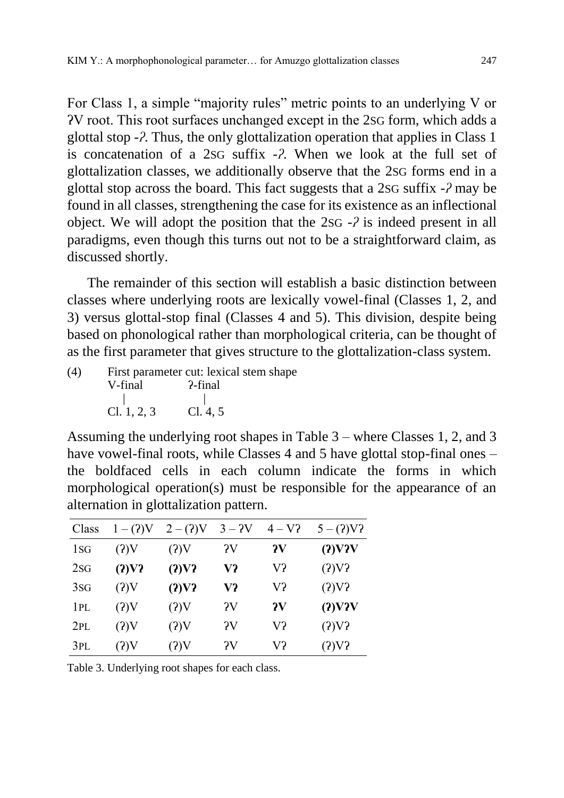For Class 1, a simple "majority rules" metric points to an underlying V or ʔV root. This root surfaces unchanged except in the 2SG form, which adds a glottal stop -*ʔ*. Thus, the only glottalization operation that applies in Class 1 is concatenation of a 2SG suffix -*ʔ*. When we look at the full set of glottalization classes, we additionally observe that the 2SG forms end in a glottal stop across the board. This fact suggests that a 2SG suffix -*ʔ* may be found in all classes, strengthening the case for its existence as an inflectional object. We will adopt the position that the 2SG -*ʔ* is indeed present in all paradigms, even though this turns out not to be a straightforward claim, as discussed shortly.

The remainder of this section will establish a basic distinction between classes where underlying roots are lexically vowel-final (Classes 1, 2, and 3) versus glottal-stop final (Classes 4 and 5). This division, despite being based on phonological rather than morphological criteria, can be thought of as the first parameter that gives structure to the glottalization-class system.

(4) First parameter cut: lexical stem shape V-final ?-final | | Cl. 1, 2, 3 Cl. 4, 5

Assuming the underlying root shapes in Table 3 – where Classes 1, 2, and 3 have vowel-final roots, while Classes 4 and 5 have glottal stop-final ones – the boldfaced cells in each column indicate the forms in which morphological operation(s) must be responsible for the appearance of an alternation in glottalization pattern.

| Class          | $1 - (2)V$ | $2 - (2)V$ | $3 - 2V$ | $4 - V$ ?    | $5-(2)V2$     |
|----------------|------------|------------|----------|--------------|---------------|
| 1 <sub>S</sub> | (2)V       | (2)V       | ?V       | $\mathbf{v}$ | $(2)$ V $2$ V |
| 2SG            | (2)V2      | (2)V2      | V?       | V?           | (2)V2         |
| 3SG            | (2)V       | (2)V2      | V?       | V?           | (2)V2         |
| 1PL            | (2)V       | $(2)$ V    | ?V       | $\mathbf{v}$ | $(2)$ V $2$ V |
| 2PL            | (2)V       | $(2)$ V    | ?V       | V?           | $(2)V$ ?      |
| 3PL            | (2)V       | (?)V       | ?V       | V?           | (2)V2         |

Table 3. Underlying root shapes for each class.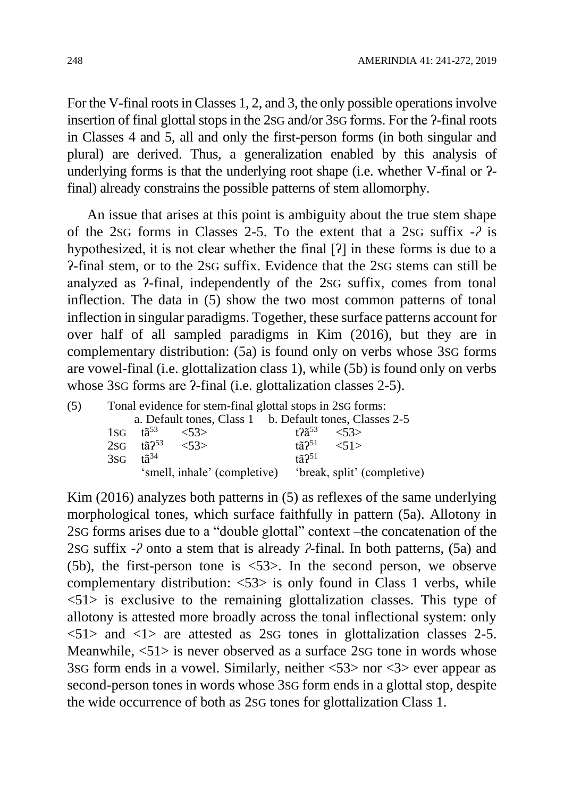For the V-final roots in Classes 1, 2, and 3, the only possible operations involve insertion of final glottal stops in the 2sG and/or 3sG forms. For the  $\alpha$ -final roots in Classes 4 and 5, all and only the first-person forms (in both singular and plural) are derived. Thus, a generalization enabled by this analysis of underlying forms is that the underlying root shape (i.e. whether V-final or ʔfinal) already constrains the possible patterns of stem allomorphy.

An issue that arises at this point is ambiguity about the true stem shape of the 2SG forms in Classes 2-5. To the extent that a 2SG suffix *-ʔ* is hypothesized, it is not clear whether the final [ʔ] in these forms is due to a ʔ-final stem, or to the 2SG suffix. Evidence that the 2SG stems can still be analyzed as ʔ-final, independently of the 2SG suffix, comes from tonal inflection. The data in (5) show the two most common patterns of tonal inflection in singular paradigms. Together, these surface patterns account for over half of all sampled paradigms in Kim (2016), but they are in complementary distribution: (5a) is found only on verbs whose 3SG forms are vowel-final (i.e. glottalization class 1), while (5b) is found only on verbs whose 3sG forms are  $?$ -final (i.e. glottalization classes  $2-5$ ).

| (5) |     |                         | Tonal evidence for stem-final glottal stops in 2sG forms: |                              |                                |  |
|-----|-----|-------------------------|-----------------------------------------------------------|------------------------------|--------------------------------|--|
|     |     |                         | a. Default tones, Class 1 b. Default tones, Classes 2-5   |                              |                                |  |
|     |     | $1SG$ $t\tilde{a}^{53}$ | $\langle 53 \rangle$                                      | $t$ ?ã $^{53}$               | <53>                           |  |
|     |     | $2SG$ tã $2^{53}$       | < 53                                                      |                              | $\[\tan 251 \quad \angle 51\]$ |  |
|     | 3SG | $t\tilde{a}^{34}$       |                                                           | $t\tilde{a}$ ? <sup>51</sup> |                                |  |
|     |     |                         | 'smell, inhale' (completive) 'break, split' (completive)  |                              |                                |  |

Kim (2016) analyzes both patterns in (5) as reflexes of the same underlying morphological tones, which surface faithfully in pattern (5a). Allotony in 2SG forms arises due to a "double glottal" context –the concatenation of the 2SG suffix *-ʔ* onto a stem that is already *ʔ-*final. In both patterns, (5a) and (5b), the first-person tone is <53>. In the second person, we observe complementary distribution: <53> is only found in Class 1 verbs, while <51> is exclusive to the remaining glottalization classes. This type of allotony is attested more broadly across the tonal inflectional system: only  $\langle 51 \rangle$  and  $\langle 1 \rangle$  are attested as 2sG tones in glottalization classes 2-5. Meanwhile, <51> is never observed as a surface 2SG tone in words whose 3SG form ends in a vowel. Similarly, neither <53> nor <3> ever appear as second-person tones in words whose 3SG form ends in a glottal stop, despite the wide occurrence of both as 2SG tones for glottalization Class 1.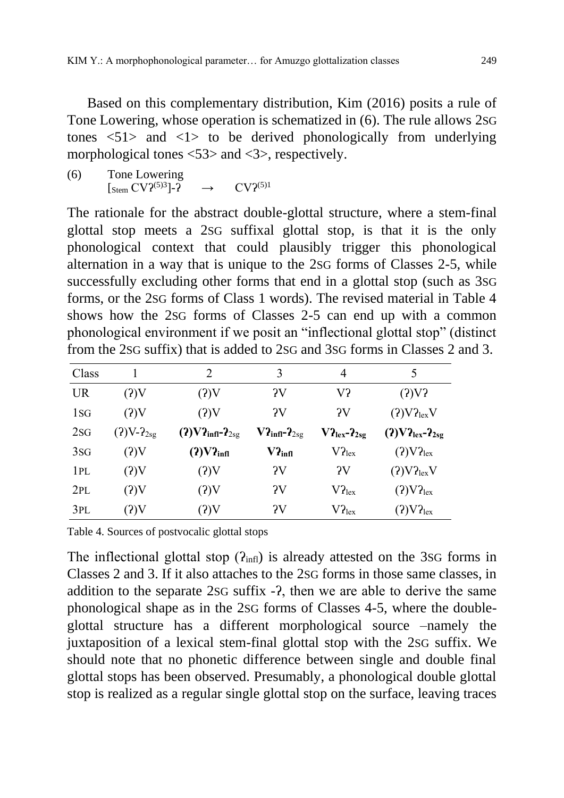Based on this complementary distribution, Kim (2016) posits a rule of Tone Lowering, whose operation is schematized in (6). The rule allows 2SG tones  $\langle 51 \rangle$  and  $\langle 1 \rangle$  to be derived phonologically from underlying morphological tones <53> and <3>, respectively.

(6) Tone Lowering  $\left[\right]$ <sub>Stem</sub> CV $\left.\right]$ <sup>(5)3</sup>]- $\left.\right]$ <sup>2</sup>  $\rightarrow$  CV $\left.\right]$ <sup>(5)1</sup>

The rationale for the abstract double-glottal structure, where a stem-final glottal stop meets a 2SG suffixal glottal stop, is that it is the only phonological context that could plausibly trigger this phonological alternation in a way that is unique to the 2SG forms of Classes 2-5, while successfully excluding other forms that end in a glottal stop (such as 3SG forms, or the 2SG forms of Class 1 words). The revised material in Table 4 shows how the 2SG forms of Classes 2-5 can end up with a common phonological environment if we posit an "inflectional glottal stop" (distinct from the 2SG suffix) that is added to 2SG and 3SG forms in Classes 2 and 3.

| Class          |                | 2                             | 3                                | 4                  | 5                                             |
|----------------|----------------|-------------------------------|----------------------------------|--------------------|-----------------------------------------------|
| <b>UR</b>      | (2)V           | (2)V                          | $\gamma_{\rm V}$                 | V?                 | (2)V                                          |
| 1 <sub>S</sub> | (2)V           | (2)V                          | $\gamma$                         | $\gamma$           | (2)V2 <sub>lex</sub> V                        |
| 2SG            | $(2)V-2_{2sg}$ | $(2)V2_{\text{infl}}-2_{2sg}$ | $V2_{\text{infl}-}2_{\text{sg}}$ | $V2_{lex}-2_{2sg}$ | $(2) \text{V2}_{\text{lex}} - 2_{2\text{sg}}$ |
| 3SG            | (2)V           | $(2)V2_{\text{infl}}$         | $V2_{\text{infl}}$               | $V2_{lex}$         | (2) V2 <sub>lex</sub>                         |
| 1PL            | (2)V           | (2)V                          | $\gamma_V$                       | ?V                 | (?)V2 <sub>lex</sub> V                        |
| 2PL            | (2)V           | (2)V                          | $\gamma_V$                       | $V2_{lex}$         | (2) V2 <sub>lex</sub>                         |
| 3PL            | (2)V           | (2)V                          | $\gamma_V$                       | $V2_{lex}$         | (2) V2 <sub>lex</sub>                         |

Table 4. Sources of postvocalic glottal stops

The inflectional glottal stop  $(P_{\text{infl}})$  is already attested on the 3sG forms in Classes 2 and 3. If it also attaches to the 2SG forms in those same classes, in addition to the separate 2SG suffix -ʔ, then we are able to derive the same phonological shape as in the 2SG forms of Classes 4-5, where the doubleglottal structure has a different morphological source –namely the juxtaposition of a lexical stem-final glottal stop with the 2SG suffix. We should note that no phonetic difference between single and double final glottal stops has been observed. Presumably, a phonological double glottal stop is realized as a regular single glottal stop on the surface, leaving traces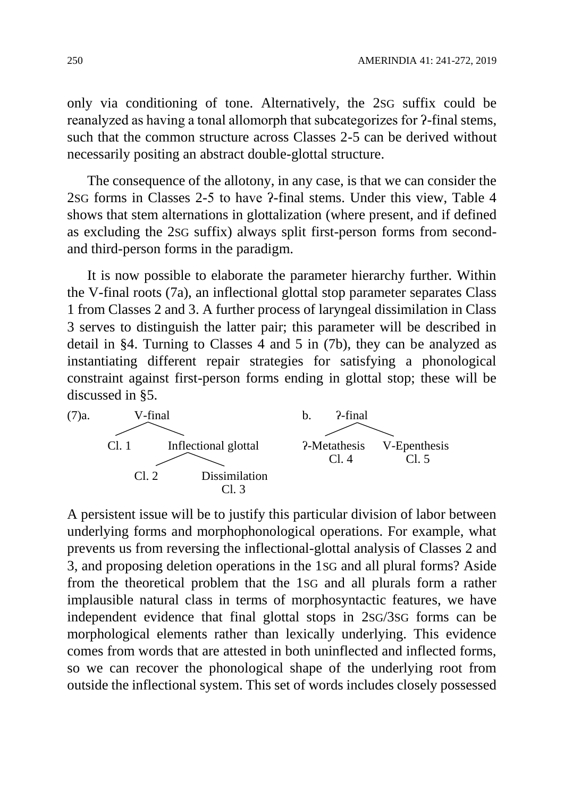only via conditioning of tone. Alternatively, the 2SG suffix could be reanalyzed as having a tonal allomorph that subcategorizes for ʔ-final stems, such that the common structure across Classes 2-5 can be derived without necessarily positing an abstract double-glottal structure.

The consequence of the allotony, in any case, is that we can consider the 2SG forms in Classes 2-5 to have ʔ-final stems. Under this view, Table 4 shows that stem alternations in glottalization (where present, and if defined as excluding the 2SG suffix) always split first-person forms from secondand third-person forms in the paradigm.

It is now possible to elaborate the parameter hierarchy further. Within the V-final roots (7a), an inflectional glottal stop parameter separates Class 1 from Classes 2 and 3. A further process of laryngeal dissimilation in Class 3 serves to distinguish the latter pair; this parameter will be described in detail in §4. Turning to Classes 4 and 5 in (7b), they can be analyzed as instantiating different repair strategies for satisfying a phonological constraint against first-person forms ending in glottal stop; these will be discussed in §5.



A persistent issue will be to justify this particular division of labor between underlying forms and morphophonological operations. For example, what prevents us from reversing the inflectional-glottal analysis of Classes 2 and 3, and proposing deletion operations in the 1SG and all plural forms? Aside from the theoretical problem that the 1SG and all plurals form a rather implausible natural class in terms of morphosyntactic features, we have independent evidence that final glottal stops in 2SG/3SG forms can be morphological elements rather than lexically underlying. This evidence comes from words that are attested in both uninflected and inflected forms, so we can recover the phonological shape of the underlying root from outside the inflectional system. This set of words includes closely possessed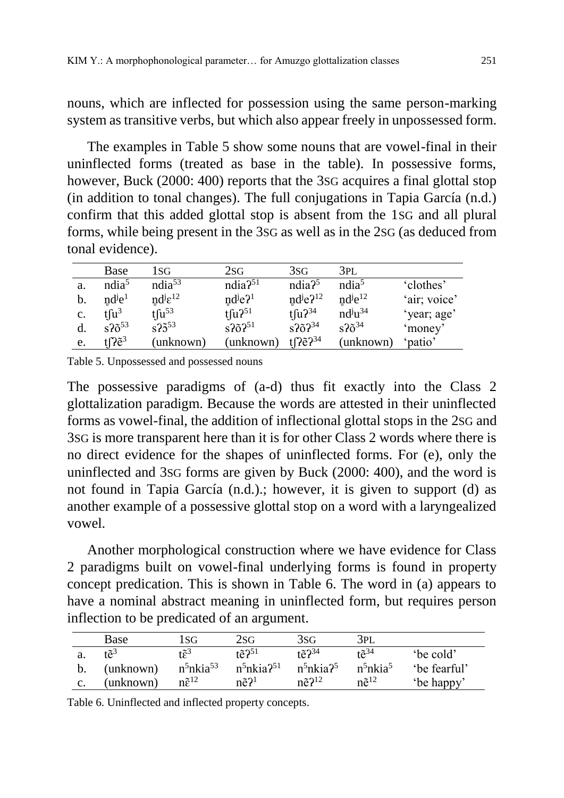nouns, which are inflected for possession using the same person-marking system as transitive verbs, but which also appear freely in unpossessed form.

The examples in Table 5 show some nouns that are vowel-final in their uninflected forms (treated as base in the table). In possessive forms, however, Buck (2000: 400) reports that the 3SG acquires a final glottal stop (in addition to tonal changes). The full conjugations in Tapia García (n.d.) confirm that this added glottal stop is absent from the 1SG and all plural forms, while being present in the 3SG as well as in the 2SG (as deduced from tonal evidence).

|                | <b>Base</b>            | 1sg                      | 2sg                               | 3 <sub>SG</sub>                  | 3PL                              |              |
|----------------|------------------------|--------------------------|-----------------------------------|----------------------------------|----------------------------------|--------------|
| a.             | ndia <sup>5</sup>      | ndia <sup>53</sup>       | $ndia2^{51}$                      | ndia <sup>5</sup>                | ndia <sup>5</sup>                | 'clothes'    |
| b.             | $nd^{j}e^{1}$          | $nd^{j}\varepsilon^{12}$ | $nd^{j}e^{2}$                     | $nd^{j}e^{2^{12}}$               | $nd^{j}e^{12}$                   | 'air; voice' |
| $\mathbf{c}$ . | tfu <sup>3</sup>       | $t \int u^{53}$          | $t \int u^{251}$                  | $t \int u^{34}$                  | $\mathrm{nd}^{j}u^{34}$          | 'year; age'  |
|                | $s$ ? $\tilde{o}^{53}$ | $s25^{53}$               | $s$ ? $\tilde{o}$ ? <sup>51</sup> | $s$ ? $\tilde{o}$ ? $34$         | $s^2$ <sub>6</sub> <sup>34</sup> | 'money'      |
| e.             | tl $7$ ë $^3$          | unknown)                 | (unknown)                         | tre $\tilde{P}^{\tilde{2}^{34}}$ | (unknown)                        | 'patio'      |

Table 5. Unpossessed and possessed nouns

The possessive paradigms of (a-d) thus fit exactly into the Class 2 glottalization paradigm. Because the words are attested in their uninflected forms as vowel-final, the addition of inflectional glottal stops in the 2SG and 3SG is more transparent here than it is for other Class 2 words where there is no direct evidence for the shapes of uninflected forms. For (e), only the uninflected and 3SG forms are given by Buck (2000: 400), and the word is not found in Tapia García (n.d.).; however, it is given to support (d) as another example of a possessive glottal stop on a word with a laryngealized vowel.

Another morphological construction where we have evidence for Class 2 paradigms built on vowel-final underlying forms is found in property concept predication. This is shown in Table 6. The word in (a) appears to have a nominal abstract meaning in uninflected form, but requires person inflection to be predicated of an argument.

|                | <b>Base</b>     | 1SG                               | 2SG                          | 3SG                      | 3pl                              |              |
|----------------|-----------------|-----------------------------------|------------------------------|--------------------------|----------------------------------|--------------|
|                | tã <sup>3</sup> | $r\tilde{\mathbf{c}}^3$           | $t\tilde{e}$ ? <sup>51</sup> | $t\tilde{e}$ 234         | $t^{\approx 34}$                 | 'be cold'    |
|                | (unknown)       | n <sup>5</sup> nkia <sup>53</sup> | $n^5$ nkia? <sup>51</sup>    | $n^5$ nkia? <sup>5</sup> | n <sup>5</sup> nkia <sup>5</sup> | 'be fearful' |
| $\mathbf{c}$ . | (unknown)       | $n\tilde{\epsilon}^{12}$          | $n\tilde{e}^2$               | $n\tilde{e}$ 2 $12$      | $n\tilde{e}^{12}$                | 'be happy'   |

Table 6. Uninflected and inflected property concepts.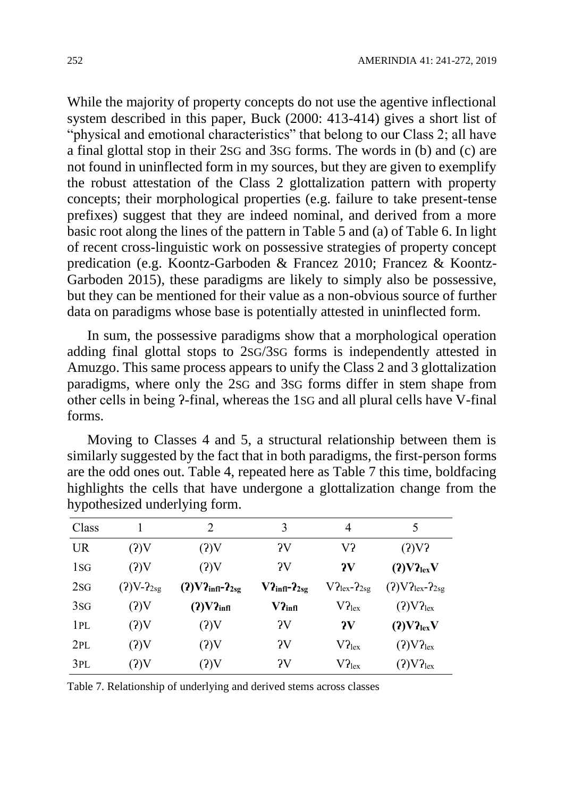While the majority of property concepts do not use the agentive inflectional system described in this paper, Buck (2000: 413-414) gives a short list of "physical and emotional characteristics" that belong to our Class 2; all have a final glottal stop in their 2SG and 3SG forms. The words in (b) and (c) are not found in uninflected form in my sources, but they are given to exemplify the robust attestation of the Class 2 glottalization pattern with property concepts; their morphological properties (e.g. failure to take present-tense prefixes) suggest that they are indeed nominal, and derived from a more basic root along the lines of the pattern in Table 5 and (a) of Table 6. In light of recent cross-linguistic work on possessive strategies of property concept predication (e.g. Koontz-Garboden & Francez 2010; Francez & Koontz-Garboden 2015), these paradigms are likely to simply also be possessive, but they can be mentioned for their value as a non-obvious source of further data on paradigms whose base is potentially attested in uninflected form.

In sum, the possessive paradigms show that a morphological operation adding final glottal stops to 2SG/3SG forms is independently attested in Amuzgo. This same process appears to unify the Class 2 and 3 glottalization paradigms, where only the 2SG and 3SG forms differ in stem shape from other cells in being ʔ-final, whereas the 1SG and all plural cells have V-final forms.

Moving to Classes 4 and 5, a structural relationship between them is similarly suggested by the fact that in both paradigms, the first-person forms are the odd ones out. Table 4, repeated here as Table 7 this time, boldfacing highlights the cells that have undergone a glottalization change from the hypothesized underlying form.

| Class          |                | 2                             | 3                          | 4                      | 5                                |
|----------------|----------------|-------------------------------|----------------------------|------------------------|----------------------------------|
| <b>UR</b>      | (2)V           | (?)V                          | $\gamma_{\rm V}$           | V?                     | $(2)V$ ?                         |
| 1 <sub>S</sub> | (2)V           | (2)V                          | $\gamma$                   | $\mathbf{v}$           | (2) V2 <sub>lex</sub> V          |
| 2SG            | $(2)V-2_{2sg}$ | $(2)V2_{\text{infl}}-2_{2sg}$ | $V2_{\text{infl}}-2_{2sg}$ | $V2_{lex}$ - $2_{2sg}$ | $(2) V2lex - 2sg$                |
| 3SG            | (2)V           | $(2)V2_{\text{infl}}$         | $V2_{\text{infl}}$         | $V2_{lex}$             | (2) V2 <sub>lex</sub>            |
| 1PL            | (?)V           | (2)V                          | $\gamma_{\rm V}$           | 2V                     | $(2)V2_{lex}V$                   |
| 2PL            | (?)V           | (2)V                          | $\gamma_{\rm V}$           | $V2_{lex}$             | (2) V2 <sub>lex</sub>            |
| 3PL            | (?)V           | (?)V                          | $\gamma_{\rm V}$           | $V2_{lex}$             | $(2) \mathrm{V2}_{\mathrm{lex}}$ |

| Table 7. Relationship of underlying and derived stems across classes |  |  |  |  |  |  |  |
|----------------------------------------------------------------------|--|--|--|--|--|--|--|
|----------------------------------------------------------------------|--|--|--|--|--|--|--|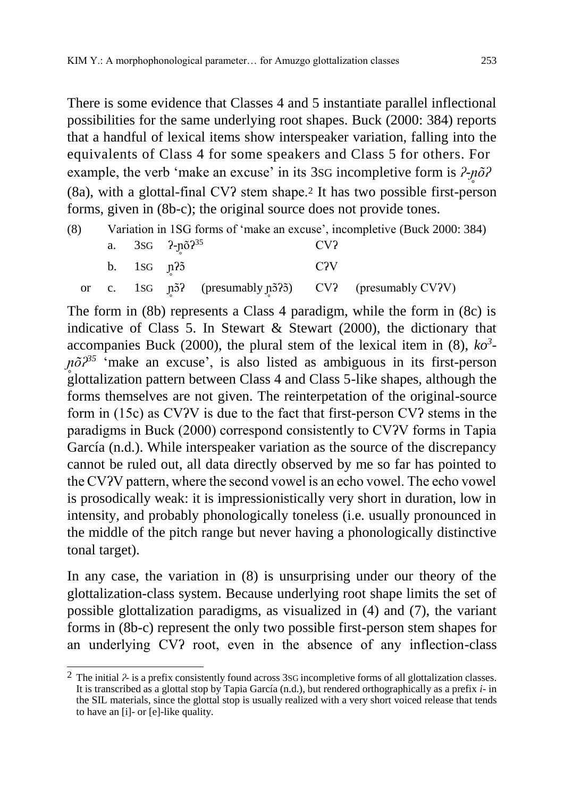There is some evidence that Classes 4 and 5 instantiate parallel inflectional possibilities for the same underlying root shapes. Buck (2000: 384) reports that a handful of lexical items show interspeaker variation, falling into the equivalents of Class 4 for some speakers and Class 5 for others. For example, the verb 'make an excuse' in its 3sG incompletive form is  $\frac{2-n\tilde{o}}{2}$ (8a), with a glottal-final CVʔ stem shape.<sup>2</sup> It has two possible first-person forms, given in (8b-c); the original source does not provide tones.

| (8) |                  |                           |     | Variation in 1SG forms of 'make an excuse', incompletive (Buck 2000: 384) |
|-----|------------------|---------------------------|-----|---------------------------------------------------------------------------|
|     |                  | a. $3SG$ $2-p\delta^{35}$ | CV? |                                                                           |
|     | b. $1SG$ $\pi$ ? |                           | C2V |                                                                           |
|     |                  |                           |     | or c. 1sG $\eta$ 5? (presumably $\eta$ 5?5) CV? (presumably CV?V)         |

The form in (8b) represents a Class 4 paradigm, while the form in (8c) is indicative of Class 5. In Stewart & Stewart (2000), the dictionary that accompanies Buck (2000), the plural stem of the lexical item in (8), *ko<sup>3</sup> n<sup>®</sup>p<sup>35</sup>* 'make an excuse', is also listed as ambiguous in its first-person glottalization pattern between Class 4 and Class 5-like shapes, although the forms themselves are not given. The reinterpetation of the original-source form in (15c) as CVʔV is due to the fact that first-person CVʔ stems in the paradigms in Buck (2000) correspond consistently to CVʔV forms in Tapia García (n.d.). While interspeaker variation as the source of the discrepancy cannot be ruled out, all data directly observed by me so far has pointed to the CVʔV pattern, where the second vowel is an echo vowel. The echo vowel is prosodically weak: it is impressionistically very short in duration, low in intensity, and probably phonologically toneless (i.e. usually pronounced in the middle of the pitch range but never having a phonologically distinctive tonal target).

In any case, the variation in (8) is unsurprising under our theory of the glottalization-class system. Because underlying root shape limits the set of possible glottalization paradigms, as visualized in (4) and (7), the variant forms in (8b-c) represent the only two possible first-person stem shapes for an underlying CVʔ root, even in the absence of any inflection-class

 $\overline{a}$ 2 The initial *ʔ-* is a prefix consistently found across 3SG incompletive forms of all glottalization classes. It is transcribed as a glottal stop by Tapia García (n.d.), but rendered orthographically as a prefix *i-* in the SIL materials, since the glottal stop is usually realized with a very short voiced release that tends to have an [i]- or [e]-like quality.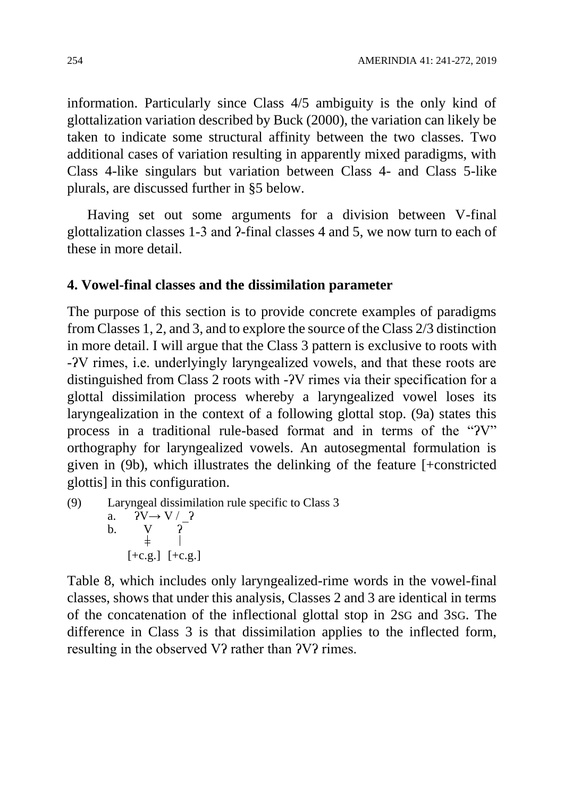information. Particularly since Class 4/5 ambiguity is the only kind of glottalization variation described by Buck (2000), the variation can likely be taken to indicate some structural affinity between the two classes. Two additional cases of variation resulting in apparently mixed paradigms, with Class 4-like singulars but variation between Class 4- and Class 5-like plurals, are discussed further in §5 below.

Having set out some arguments for a division between V-final glottalization classes 1-3 and ʔ-final classes 4 and 5, we now turn to each of these in more detail.

#### **4. Vowel-final classes and the dissimilation parameter**

The purpose of this section is to provide concrete examples of paradigms from Classes 1, 2, and 3, and to explore the source of the Class 2/3 distinction in more detail. I will argue that the Class 3 pattern is exclusive to roots with -ʔV rimes, i.e. underlyingly laryngealized vowels, and that these roots are distinguished from Class 2 roots with -ʔV rimes via their specification for a glottal dissimilation process whereby a laryngealized vowel loses its laryngealization in the context of a following glottal stop. (9a) states this process in a traditional rule-based format and in terms of the "ʔV" orthography for laryngealized vowels. An autosegmental formulation is given in (9b), which illustrates the delinking of the feature [+constricted glottis] in this configuration.

(9) Laryngeal dissimilation rule specific to Class 3 a.  $\overline{Y}V \rightarrow V / 2$ b. V ʔ  $\pm$  $[-c.g.]$   $[-c.g.]$ 

Table 8, which includes only laryngealized-rime words in the vowel-final classes, shows that under this analysis, Classes 2 and 3 are identical in terms of the concatenation of the inflectional glottal stop in 2SG and 3SG. The difference in Class 3 is that dissimilation applies to the inflected form, resulting in the observed V? rather than  $2V$ ? rimes.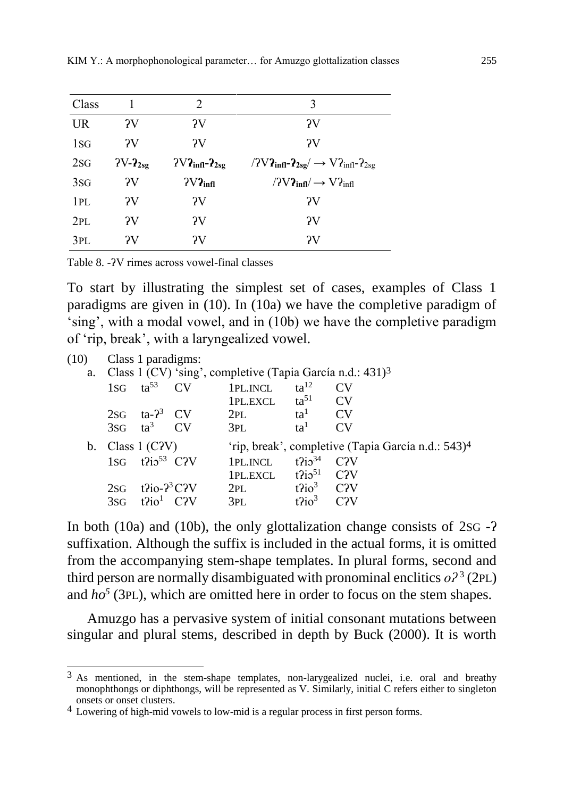| Class     |                  | $\mathcal{D}_{\mathcal{L}}$       | 3                                                                 |
|-----------|------------------|-----------------------------------|-------------------------------------------------------------------|
| <b>UR</b> | $\gamma_{V}$     | $\gamma_{V}$                      | $\gamma_{\rm V}$                                                  |
| 1SG       | $\gamma_{\rm V}$ | $\gamma_{V}$                      | $\gamma$                                                          |
| 2SG       | $2V-2_{2sg}$     | $2V2_{\text{infl}-}2_{\text{sg}}$ | $/2V2_{\text{infl}}-2_{2sg}/\rightarrow V2_{\text{infl}}-2_{2sg}$ |
| 3SG       | 2V               | $2V2_{\text{infl}}$               | $/2V2_{\text{infl}}$ $\rightarrow$ $V2_{\text{infl}}$             |
| 1PL       | $\gamma_V$       | $\gamma_V$                        | $\gamma_V$                                                        |
| 2PL       | $\gamma_{V}$     | $\gamma_V$                        | $\gamma_V$                                                        |
| 3PL       | ?V               | ?V                                | $\gamma_V$                                                        |

Table 8. -ʔV rimes across vowel-final classes

To start by illustrating the simplest set of cases, examples of Class 1 paradigms are given in (10). In (10a) we have the completive paradigm of 'sing', with a modal vowel, and in (10b) we have the completive paradigm of 'rip, break', with a laryngealized vowel.

(10) Class 1 paradigms:

|  |                                                |                         | a. Class 1 (CV) 'sing', completive (Tapia García n.d.: 431) <sup>3</sup> |                                        |                                                                |
|--|------------------------------------------------|-------------------------|--------------------------------------------------------------------------|----------------------------------------|----------------------------------------------------------------|
|  |                                                | 1sG $\text{ta}^{53}$ CV | 1PL.INCL $ta^{12}$                                                       |                                        | CV                                                             |
|  |                                                |                         | 1PL.EXCL $ta^{51}$ CV                                                    |                                        |                                                                |
|  | $2SG$ ta- $2^3$ CV                             |                         | $2PL$ $ta1$ CV                                                           |                                        |                                                                |
|  | $3SG$ $ta^3$ $CV$                              |                         | 3PL                                                                      | ta <sup>1</sup>                        | CV                                                             |
|  | b. Class $1$ (CPV)                             |                         |                                                                          |                                        | 'rip, break', completive (Tapia García n.d.: 543) <sup>4</sup> |
|  | 1sq $t$ $i$ <sub>2</sub> $53$ C <sup>2</sup> V |                         | 1PL.INCL $t$ $\frac{2}{3}$ $\frac{1}{2}$ $C$ <sup>2</sup> $V$            |                                        |                                                                |
|  |                                                |                         | $1PL.EXCL$ $t2i551$ $C2V$                                                |                                        |                                                                |
|  | $2SG$ t $2io-2^3C2V$                           |                         | $2PL$ $t^2io^3$ $C2V$                                                    |                                        |                                                                |
|  | $3SG$ $t$ $i$ $o1$ $C$ $i$ $V$                 |                         | 3PL                                                                      | $t^2$ io <sup>3</sup> C <sub>2</sub> V |                                                                |

In both (10a) and (10b), the only glottalization change consists of 2SG -ʔ suffixation. Although the suffix is included in the actual forms, it is omitted from the accompanying stem-shape templates. In plural forms, second and third person are normally disambiguated with pronominal enclitics  $o^2$ <sup>3</sup> (2PL) and  $ho^5$  (3PL), which are omitted here in order to focus on the stem shapes.

Amuzgo has a pervasive system of initial consonant mutations between singular and plural stems, described in depth by Buck (2000). It is worth

 $\overline{a}$  $3$  As mentioned, in the stem-shape templates, non-larygealized nuclei, i.e. oral and breathy monophthongs or diphthongs, will be represented as V. Similarly, initial C refers either to singleton onsets or onset clusters.

<sup>4</sup> Lowering of high-mid vowels to low-mid is a regular process in first person forms.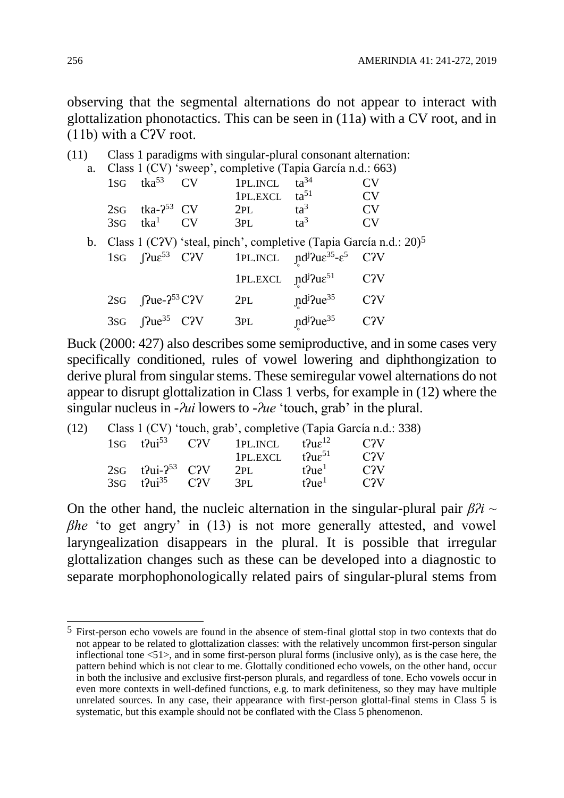observing that the segmental alternations do not appear to interact with glottalization phonotactics. This can be seen in (11a) with a CV root, and in (11b) with a CʔV root.

| (11) |                                                           |                      | Class 1 paradigms with singular-plural consonant alternation:                                                                           |           |
|------|-----------------------------------------------------------|----------------------|-----------------------------------------------------------------------------------------------------------------------------------------|-----------|
|      |                                                           |                      | a. Class 1 (CV) 'sweep', completive (Tapia García n.d.: 663)                                                                            |           |
|      | $1SG$ tka <sup>53</sup> CV                                | 1PL.INCL             | $ta^{34}$                                                                                                                               | CV        |
|      |                                                           | $1PL.EXCL$ $ta^{51}$ |                                                                                                                                         | <b>CV</b> |
|      | $2SG$ tka- $2^{53}$ CV                                    | 2PL                  | $ta^3$                                                                                                                                  | CV        |
|      | $3SG$ tka <sup>1</sup> CV                                 | 3PL                  | $\text{ta}^3$                                                                                                                           | CV        |
|      |                                                           |                      | b. Class 1 (CPV) 'steal, pinch', completive (Tapia García n.d.: $20$ ) <sup>5</sup>                                                     |           |
|      |                                                           |                      | 1sG $\int$ $\int$ $\text{2}u \varepsilon^{53}$ C $\text{2V}$ 1PL.INCL $\int$ $\text{2}u \varepsilon^{35} - \varepsilon^5$ C $\text{2V}$ |           |
|      |                                                           |                      | $1PL.EXCL \quad pd^j2ue^{51} \qquad C2V$                                                                                                |           |
|      | 2sG $\int$ Pue- $2^{53}$ C?V                              | 2PL                  | $\text{nd}^{\text{j}}$ ?ue <sup>35</sup> C?V                                                                                            |           |
|      | 3sG $\int$ $\int$ $\text{2} \text{Re}^{35}$ C $\text{2V}$ | 3PL                  | nd <sup>j</sup> ?ue <sup>35</sup>                                                                                                       | C2V       |

Buck (2000: 427) also describes some semiproductive, and in some cases very specifically conditioned, rules of vowel lowering and diphthongization to derive plural from singular stems. These semiregular vowel alternations do not appear to disrupt glottalization in Class 1 verbs, for example in (12) where the singular nucleus in -*ʔui* lowers to *-ʔue* 'touch, grab' in the plural.

| (12) |                                                   | Class 1 (CV) 'touch, grab', completive (Tapia García n.d.: 338) |                               |                  |
|------|---------------------------------------------------|-----------------------------------------------------------------|-------------------------------|------------------|
|      |                                                   | 1sG $t$ $2\mu i^{53}$ CPV 1PL. INCL $t$ $2\mu \epsilon^{12}$    |                               | C <sub>2</sub> V |
|      |                                                   | 1PL.EXCL                                                        | t?u $\varepsilon^{51}$        | C2V              |
|      | $2SG$ t?ui- $2^{53}$ C?V                          | 2PI.                                                            | $t$ $\lambda$ ue <sup>1</sup> | C2V              |
|      | $3\text{SG}$ $t$ $2\text{u}$ $35$ $C$ $2\text{V}$ | 3PL                                                             | $t$ $\lambda$ ue <sup>1</sup> | C2V              |

On the other hand, the nucleic alternation in the singular-plural pair *βʔi ~ βhe* 'to get angry' in (13) is not more generally attested, and vowel laryngealization disappears in the plural. It is possible that irregular glottalization changes such as these can be developed into a diagnostic to separate morphophonologically related pairs of singular-plural stems from

 $\overline{a}$ <sup>5</sup> First-person echo vowels are found in the absence of stem-final glottal stop in two contexts that do not appear to be related to glottalization classes: with the relatively uncommon first-person singular inflectional tone <51>, and in some first-person plural forms (inclusive only), as is the case here, the pattern behind which is not clear to me. Glottally conditioned echo vowels, on the other hand, occur in both the inclusive and exclusive first-person plurals, and regardless of tone. Echo vowels occur in even more contexts in well-defined functions, e.g. to mark definiteness, so they may have multiple unrelated sources. In any case, their appearance with first-person glottal-final stems in Class 5 is systematic, but this example should not be conflated with the Class 5 phenomenon.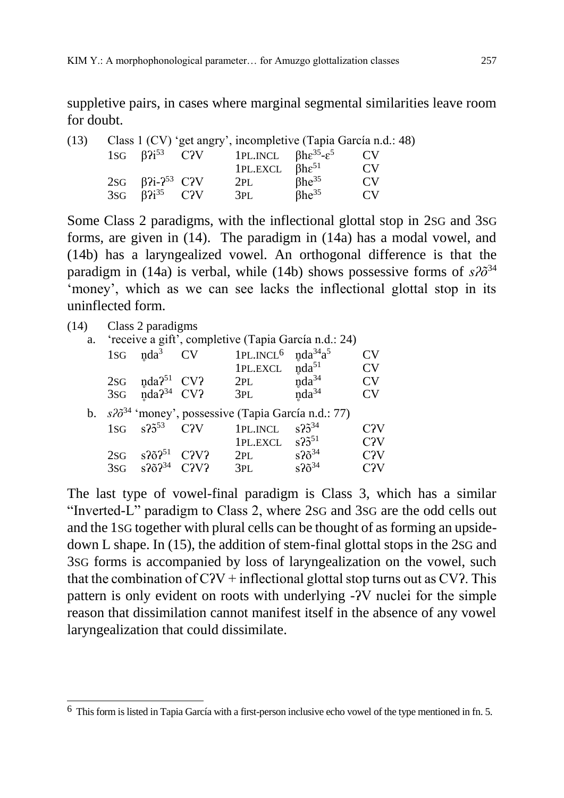suppletive pairs, in cases where marginal segmental similarities leave room for doubt.

| (13) |                                    |                                                                            | Class 1 (CV) 'get angry', incompletive (Tapia García n.d.: 48) |    |
|------|------------------------------------|----------------------------------------------------------------------------|----------------------------------------------------------------|----|
|      |                                    | 1sG $\beta$ $i^{53}$ C?V 1PL.INCL $\beta$ he <sup>35</sup> -e <sup>5</sup> |                                                                |    |
|      |                                    | 1PL.EXCL $\beta$ he <sup>51</sup>                                          |                                                                | CV |
|      | 2sG $\beta$ ?i-? <sup>53</sup> C?V | 2PL                                                                        | $8he^{35}$                                                     | CV |
|      | $3SG$ $\beta$ $3^{35}$ C?V         | 3PL                                                                        | $8he^{35}$                                                     | CV |

Some Class 2 paradigms, with the inflectional glottal stop in 2SG and 3SG forms, are given in (14). The paradigm in (14a) has a modal vowel, and (14b) has a laryngealized vowel. An orthogonal difference is that the paradigm in (14a) is verbal, while (14b) shows possessive forms of  $s\lambda\tilde{\sigma}^{34}$ 'money', which as we can see lacks the inflectional glottal stop in its uninflected form.

| (14) |     | Class 2 paradigms                                                                                                                                                                                                                                                                                                      |                |                       |                                                                |                  |
|------|-----|------------------------------------------------------------------------------------------------------------------------------------------------------------------------------------------------------------------------------------------------------------------------------------------------------------------------|----------------|-----------------------|----------------------------------------------------------------|------------------|
| a.   |     |                                                                                                                                                                                                                                                                                                                        |                |                       | 'receive a gift', completive (Tapia García n.d.: 24)           |                  |
|      | 1SG | $nda^3$                                                                                                                                                                                                                                                                                                                | CV <sub></sub> | 1PL.INCL <sup>6</sup> | $nda^{34}a^5$                                                  | CV               |
|      |     |                                                                                                                                                                                                                                                                                                                        |                | 1PL.EXCL              | $nda^{51}$                                                     | $\rm{CV}$        |
|      | 2SG | $nda251$ CV?                                                                                                                                                                                                                                                                                                           |                | 2PL                   | $nda^{34}$                                                     | CV               |
|      |     | 3sG $nda^{34}$ CV?                                                                                                                                                                                                                                                                                                     |                | 3pl                   | $nda^{34}$                                                     | CV               |
|      |     |                                                                                                                                                                                                                                                                                                                        |                |                       | b. $s2\delta^{34}$ 'money', possessive (Tapia García n.d.: 77) |                  |
|      |     | $1\text{SG}$ $\frac{1}{2}$ $\frac{1}{2}$ $\frac{1}{2}$ $\frac{1}{2}$ $\frac{1}{2}$ $\frac{1}{2}$ $\frac{1}{2}$ $\frac{1}{2}$ $\frac{1}{2}$ $\frac{1}{2}$ $\frac{1}{2}$ $\frac{1}{2}$ $\frac{1}{2}$ $\frac{1}{2}$ $\frac{1}{2}$ $\frac{1}{2}$ $\frac{1}{2}$ $\frac{1}{2}$ $\frac{1}{2}$ $\frac{1}{2}$ $\frac{1}{2}$ $\$ | C2V            | 1PL.INCL              | $s^{2}3^{34}$                                                  | C <sub>2</sub> V |
|      |     |                                                                                                                                                                                                                                                                                                                        |                | $1PL.EXCL$ $s25^{51}$ |                                                                | C <sub>2</sub> V |
|      | 2SG | $s$ ???51                                                                                                                                                                                                                                                                                                              | C2V2           | 2PL                   | $s^2$ <sub>2</sub> $\tilde{o}^{34}$                            | C <sub>2</sub> V |
|      | 3SG | $S^{2}$ <sub>6</sub> $S^{34}$ C <sub>2</sub> V <sub>2</sub>                                                                                                                                                                                                                                                            |                | 3PL                   | $s^2$ <sub>6</sub> <sup>34</sup>                               | C <sub>2</sub> V |
|      |     |                                                                                                                                                                                                                                                                                                                        |                |                       |                                                                |                  |

The last type of vowel-final paradigm is Class 3, which has a similar "Inverted-L" paradigm to Class 2, where 2SG and 3SG are the odd cells out and the 1SG together with plural cells can be thought of as forming an upsidedown L shape. In (15), the addition of stem-final glottal stops in the 2SG and 3SG forms is accompanied by loss of laryngealization on the vowel, such that the combination of  $C$ <sup> $V$  +</sup> inflectional glottal stop turns out as  $CV$ ? This pattern is only evident on roots with underlying -ʔV nuclei for the simple reason that dissimilation cannot manifest itself in the absence of any vowel laryngealization that could dissimilate.

 $\overline{a}$  $6$  This form is listed in Tapia García with a first-person inclusive echo vowel of the type mentioned in fn. 5.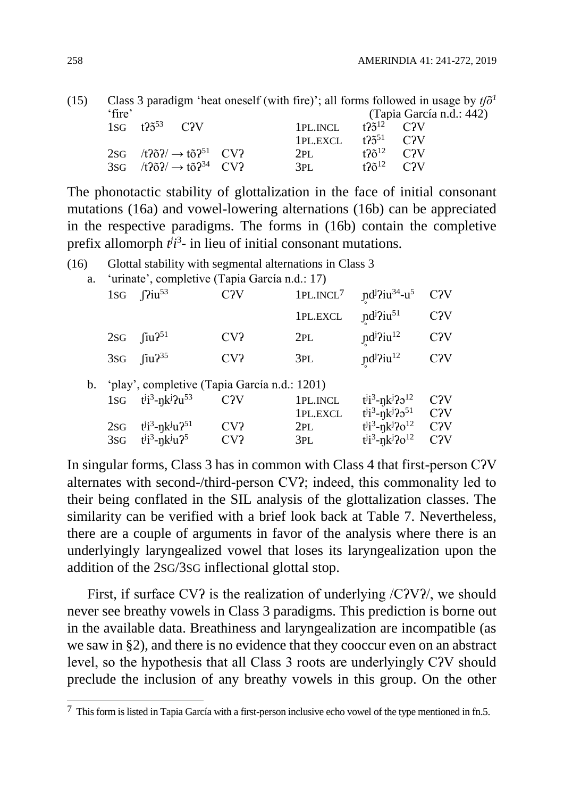| (15) |        |                        |                                                              |          |                                    | Class 3 paradigm 'heat oneself (with fire)'; all forms followed in usage by $t/\tilde{o}$ ' |
|------|--------|------------------------|--------------------------------------------------------------|----------|------------------------------------|---------------------------------------------------------------------------------------------|
|      | 'fire' |                        |                                                              |          |                                    | (Tapia García n.d.: 442)                                                                    |
|      |        | $1SG$ $t25^{53}$ $C2V$ |                                                              | 1PL.INCL | $t$ ?5 <sup>12</sup> C?V           |                                                                                             |
|      |        |                        |                                                              | 1PL.EXCL | $125^{51}$ C <sub>2V</sub>         |                                                                                             |
|      |        |                        | 2sG $/t\frac{25}{7}\rightarrow t\frac{5}{1}$ CV?             | 2PL      | $t2\tilde{o}^{12}$ C <sub>2V</sub> |                                                                                             |
|      |        |                        | 3sG $/t\frac{25}{7}$ $\rightarrow$ to $\frac{2^{34}}{7}$ CV? | 3PL      | $120^{12}$ C <sub>2</sub> V        |                                                                                             |

The phonotactic stability of glottalization in the face of initial consonant mutations (16a) and vowel-lowering alternations (16b) can be appreciated in the respective paradigms. The forms in (16b) contain the completive prefix allomorph  $t^{j}$ <sup>2</sup> in lieu of initial consonant mutations.

| (16) |     |                                                                                    |                  | Glottal stability with segmental alternations in Class 3 |                                                                        |                                      |
|------|-----|------------------------------------------------------------------------------------|------------------|----------------------------------------------------------|------------------------------------------------------------------------|--------------------------------------|
| a.   |     | 'urinate', completive (Tapia García n.d.: 17)                                      |                  |                                                          |                                                                        |                                      |
|      | 1SG | $\gamma$ iu <sup>53</sup>                                                          | C2V              | 1PL.INCL <sup>7</sup>                                    | $\text{nd}^{\text{j}}\text{2iu}^{34}$ -u <sup>5</sup>                  | C <sub>2</sub> V                     |
|      |     |                                                                                    |                  | 1PL.EXCL                                                 | nd <sup>j</sup> ?iu <sup>51</sup>                                      | C <sub>2</sub> V                     |
|      |     | 2sg $\int$ ju? <sup>51</sup>                                                       | CV?              | 2PL                                                      | nd <sup>j</sup> ?iu <sup>12</sup>                                      | C <sub>2</sub> V                     |
|      |     | 3sG $\int$ $\int$ $\frac{1}{2}$ $\frac{35}{5}$                                     | CV?              | 3PL                                                      | nd <sup>j</sup> ?iu <sup>12</sup>                                      | C <sub>2</sub> V                     |
|      |     | 'play', completive (Tapia García n.d.: 1201)                                       |                  |                                                          |                                                                        |                                      |
|      |     | $1SG$ $t^{j_1^3} - nk^j$ ? $u^{53}$                                                | C <sub>2</sub> V | 1PL.INCL<br>1PL.EXCL                                     | $t^{j}i^{3}$ -nk <sup>j</sup> ? $2^{12}$<br>$t^{j}i^{3}-nk^{j}20^{51}$ | C <sub>2</sub> V<br>C <sub>2</sub> V |
|      | 2SG | $t^{j}i^{3}$ -ŋk <sup>j</sup> u? <sup>51</sup><br>3sG $t^{j_1^3} - \eta k^{j_1^3}$ | CV?<br>CV?       | 2PL<br>3PL                                               | $t^{j}i^{3}-\eta k^{j}20^{12}$<br>$t^{j}i^{3}-nk^{j}$ ?0 <sup>12</sup> | C <sub>2</sub> V<br>C <sub>2</sub> V |
|      |     |                                                                                    |                  |                                                          |                                                                        |                                      |

In singular forms, Class 3 has in common with Class 4 that first-person CʔV alternates with second-/third-person CVʔ; indeed, this commonality led to their being conflated in the SIL analysis of the glottalization classes. The similarity can be verified with a brief look back at Table 7. Nevertheless, there are a couple of arguments in favor of the analysis where there is an underlyingly laryngealized vowel that loses its laryngealization upon the addition of the 2SG/3SG inflectional glottal stop.

First, if surface CV? is the realization of underlying /C?V?/, we should never see breathy vowels in Class 3 paradigms. This prediction is borne out in the available data. Breathiness and laryngealization are incompatible (as we saw in §2), and there is no evidence that they cooccur even on an abstract level, so the hypothesis that all Class 3 roots are underlyingly CʔV should preclude the inclusion of any breathy vowels in this group. On the other

 $\overline{a}$  $7$  This form is listed in Tapia García with a first-person inclusive echo vowel of the type mentioned in fn.5.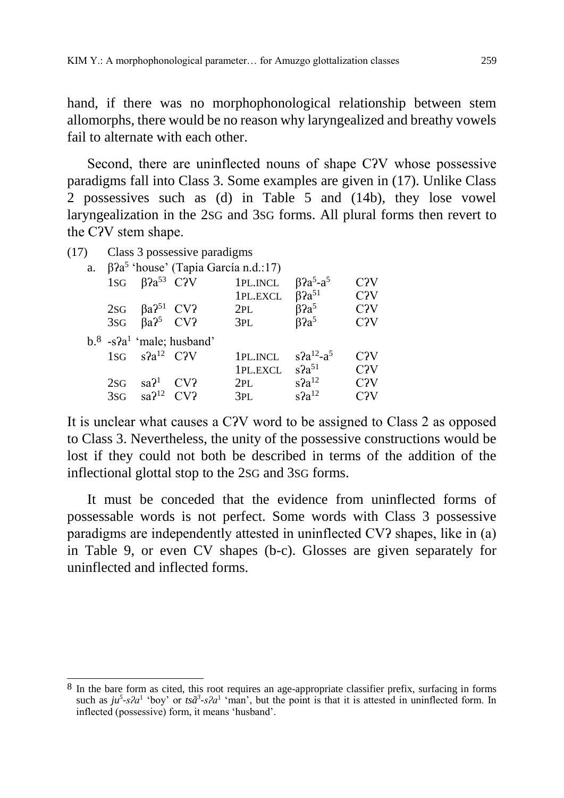hand, if there was no morphophonological relationship between stem allomorphs, there would be no reason why laryngealized and breathy vowels fail to alternate with each other.

Second, there are uninflected nouns of shape CʔV whose possessive paradigms fall into Class 3. Some examples are given in (17). Unlike Class 2 possessives such as (d) in Table 5 and (14b), they lose vowel laryngealization in the 2SG and 3SG forms. All plural forms then revert to the CʔV stem shape.

| Class 3 possessive paradigms | (17) |  |  |  |
|------------------------------|------|--|--|--|
|------------------------------|------|--|--|--|

 $\overline{a}$ 

|     |                                       | a. $\beta$ a <sup>5</sup> 'house' (Tapia García n.d.:17) |          |                                         |                  |
|-----|---------------------------------------|----------------------------------------------------------|----------|-----------------------------------------|------------------|
|     | 1sg $\beta$ $a^{53}$ C <sub>2</sub> V |                                                          | 1PL.INCL | $\beta$ ?a <sup>5</sup> -a <sup>5</sup> | C <sub>2</sub> V |
|     |                                       |                                                          | 1PL.EXCL | $\beta$ ?a <sup>51</sup>                | C <sub>2</sub> V |
|     | 2sG $\beta a^{251}$ CV?               |                                                          | 2PL      | $\beta$ ?a <sup>5</sup>                 | C <sub>2</sub> V |
|     | 3sG $\beta a^2$ <sup>5</sup> CV?      |                                                          | 3PL      | $\beta$ ?a <sup>5</sup>                 | C <sub>2</sub> V |
|     |                                       | $b^8$ -s?a <sup>1</sup> 'male; husband'                  |          |                                         |                  |
|     | $1SG \quad s2a^{12} \quad C2V$        |                                                          | 1PL.INCL | $s$ ?a <sup>12</sup> -a <sup>5</sup>    | C <sub>2</sub> V |
|     |                                       |                                                          | 1PL.EXCL | $s2a^{51}$                              | C2V              |
| 2SG | sa <sup>21</sup>                      | CV?                                                      | 2PL      | $s2a^{12}$                              | C2V              |
| 3SG | $sa12$ CV?                            |                                                          | 3PL      | $s2a^{12}$                              | C <sub>2</sub> V |

It is unclear what causes a CʔV word to be assigned to Class 2 as opposed to Class 3. Nevertheless, the unity of the possessive constructions would be lost if they could not both be described in terms of the addition of the inflectional glottal stop to the 2SG and 3SG forms.

It must be conceded that the evidence from uninflected forms of possessable words is not perfect. Some words with Class 3 possessive paradigms are independently attested in uninflected CVʔ shapes, like in (a) in Table 9, or even CV shapes (b-c). Glosses are given separately for uninflected and inflected forms.

 $8\,$  In the bare form as cited, this root requires an age-appropriate classifier prefix, surfacing in forms such as  $ju^5$ -s*?a*<sup>1</sup> 'boy' or  $ts\tilde{a}^3$ -s*?a*<sup>1</sup> 'man', but the point is that it is attested in uninflected form. In inflected (possessive) form, it means 'husband'.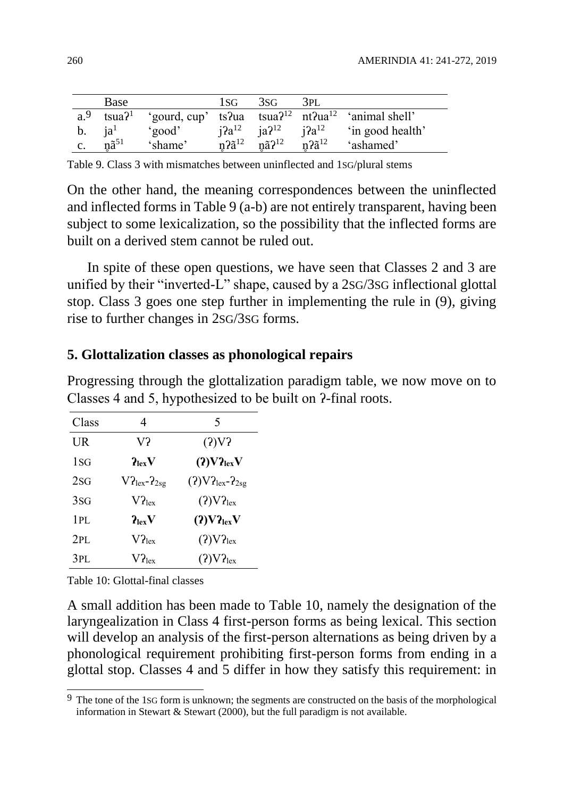|                | Base              |         | 1sg                         | 3SG                              | -3PL       |                                                                                                              |
|----------------|-------------------|---------|-----------------------------|----------------------------------|------------|--------------------------------------------------------------------------------------------------------------|
|                |                   |         |                             |                                  |            | a. <sup>9</sup> tsua? <sup>1</sup> 'gourd, cup' ts?ua tsua? <sup>12</sup> nt?ua <sup>12</sup> 'animal shell' |
| b. $ia^1$      |                   | 'good'  |                             | $i2a^{12}$ $ia2^{12}$ $i2a^{12}$ |            | in good health'                                                                                              |
| $\mathbf{c}$ . | $n\tilde{a}^{51}$ | 'shame' | $n \partial \tilde{a}^{12}$ | $n\tilde{a}$ ? <sup>12</sup>     | $n2a^{12}$ | 'ashamed'                                                                                                    |

Table 9. Class 3 with mismatches between uninflected and 1SG/plural stems

On the other hand, the meaning correspondences between the uninflected and inflected forms in Table 9 (a-b) are not entirely transparent, having been subject to some lexicalization, so the possibility that the inflected forms are built on a derived stem cannot be ruled out.

In spite of these open questions, we have seen that Classes 2 and 3 are unified by their "inverted-L" shape, caused by a 2SG/3SG inflectional glottal stop. Class 3 goes one step further in implementing the rule in (9), giving rise to further changes in 2SG/3SG forms.

#### **5. Glottalization classes as phonological repairs**

| Progressing through the glottalization paradigm table, we now move on to |  |
|--------------------------------------------------------------------------|--|
| Classes 4 and 5, hypothesized to be built on 2-final roots.              |  |

| Class     | 4                                   | 5                                             |
|-----------|-------------------------------------|-----------------------------------------------|
| <b>UR</b> | V?                                  | (2)V2                                         |
| 1SG       | $\mathbf{p}_{\text{lex}}\mathbf{V}$ | (2) V2 <sub>lex</sub> V                       |
| 2SG       | $V2_{lex}$ - $2_{2sg}$              | $(2) \text{V2}_{\text{lex}} - 2_{2\text{sg}}$ |
| 3SG       | $V2_{lex}$                          | (2) V2 <sub>lex</sub>                         |
| 1PL       | $\mathbf{P}_{\text{lex}}\mathbf{V}$ | $(2)V2_{lex}V$                                |
| 2PL       | $V2_{lex}$                          | (2) V2 <sub>lex</sub>                         |
| 3PL       | $V2_{lex}$                          | (2) V2 <sub>lex</sub>                         |

Table 10: Glottal-final classes

A small addition has been made to Table 10, namely the designation of the laryngealization in Class 4 first-person forms as being lexical. This section will develop an analysis of the first-person alternations as being driven by a phonological requirement prohibiting first-person forms from ending in a glottal stop. Classes 4 and 5 differ in how they satisfy this requirement: in

 $\overline{a}$  $9\text{ The tone of the 1SG form is unknown; the segments are constructed on the basis of the morphological.}$ information in Stewart & Stewart (2000), but the full paradigm is not available.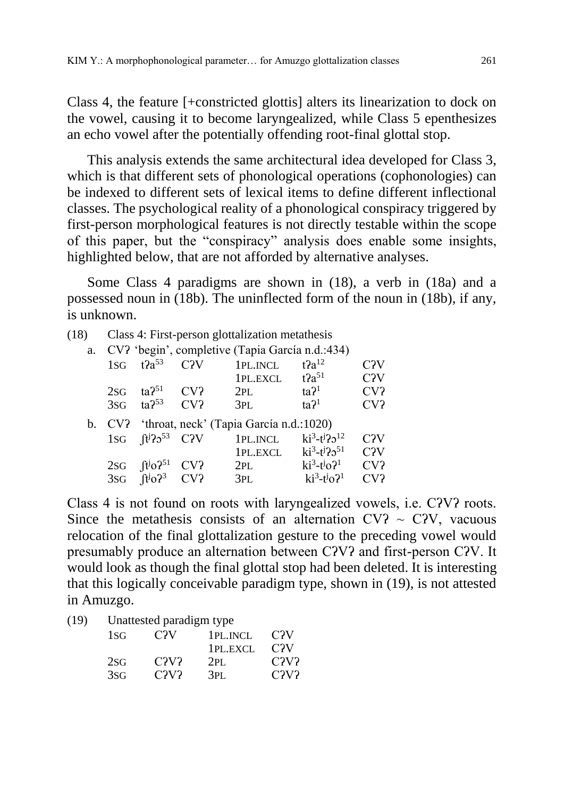Class 4, the feature [+constricted glottis] alters its linearization to dock on the vowel, causing it to become laryngealized, while Class 5 epenthesizes an echo vowel after the potentially offending root-final glottal stop.

This analysis extends the same architectural idea developed for Class 3, which is that different sets of phonological operations (cophonologies) can be indexed to different sets of lexical items to define different inflectional classes. The psychological reality of a phonological conspiracy triggered by first-person morphological features is not directly testable within the scope of this paper, but the "conspiracy" analysis does enable some insights, highlighted below, that are not afforded by alternative analyses.

Some Class 4 paradigms are shown in (18), a verb in (18a) and a possessed noun in (18b). The uninflected form of the noun in (18b), if any, is unknown.

- (18) Class 4: First-person glottalization metathesis
	- a. CVʔ 'begin', completive (Tapia García n.d.:434)

| 1SG | $t2a^{53}$                                 | C <sub>2</sub> V | 1PL.INCL<br>1PL.EXCL                           | $t2a^{12}$<br>$t2a^{51}$ | C <sub>2</sub> V<br>C <sub>2</sub> V |
|-----|--------------------------------------------|------------------|------------------------------------------------|--------------------------|--------------------------------------|
| 2SG | $\text{ta}$ ? <sup>51</sup>                | CV?              | 2PL                                            | ta <sup>21</sup>         | CV?                                  |
| 3SG | $ta2^{53}$                                 | CV <sub>2</sub>  | 3PL                                            | ta <sup>21</sup>         | CV?                                  |
|     |                                            |                  | b. CV? 'throat, neck' (Tapia García n.d.:1020) |                          |                                      |
|     | $1SG$ $\left[\frac{1}{2}\right]2^{53}$ C?V |                  | 1PL.INCL                                       | $ki^3-t^j22^{12}$        | C <sub>2</sub> V                     |
|     |                                            |                  | 1PL.EXCL                                       | $ki^3-t^j22^{51}$        | C <sub>2</sub> V                     |
| 2SG | $\int t^j$ o? <sup>51</sup>                | CV?              | 2PL                                            | $ki^3-t^j0^2$            | CV?                                  |
|     | 3sG $[t]_0$ ? <sup>3</sup> CV?             |                  | 3PL                                            | $ki^3-t^j0^2$            | CV <sub>2</sub>                      |

Class 4 is not found on roots with laryngealized vowels, i.e. CʔVʔ roots. Since the metathesis consists of an alternation CV?  $\sim$  C?V, vacuous relocation of the final glottalization gesture to the preceding vowel would presumably produce an alternation between CʔVʔ and first-person CʔV. It would look as though the final glottal stop had been deleted. It is interesting that this logically conceivable paradigm type, shown in (19), is not attested in Amuzgo.

(19) Unattested paradigm type

| 1 <sub>SG</sub> | C <sub>2</sub> V | 1PL.INCL<br>1PL.EXCL | C <sub>2</sub> V<br>C <sub>2</sub> V |
|-----------------|------------------|----------------------|--------------------------------------|
| 2SG             | C2V2             | 2PI.                 | C2V2                                 |
| 3SG             | C2V2             | 3PL                  | C2V2                                 |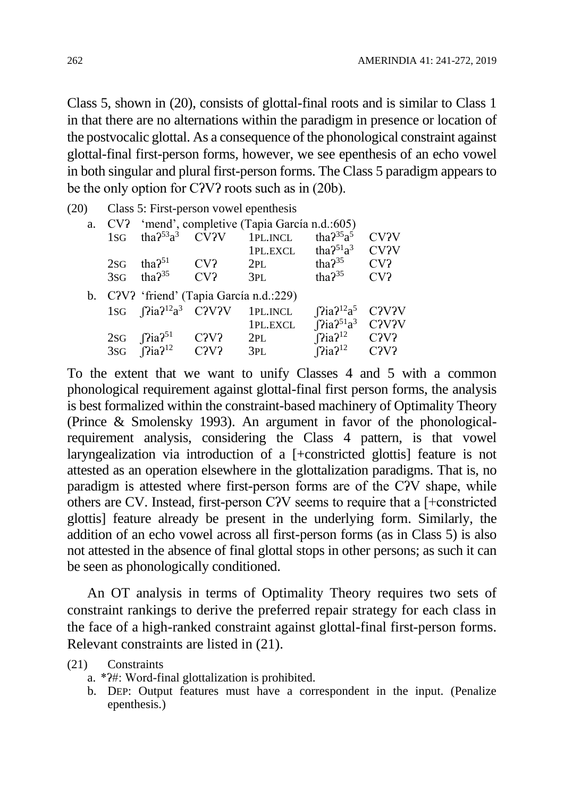Class 5, shown in (20), consists of glottal-final roots and is similar to Class 1 in that there are no alternations within the paradigm in presence or location of the postvocalic glottal. As a consequence of the phonological constraint against glottal-final first-person forms, however, we see epenthesis of an echo vowel in both singular and plural first-person forms. The Class 5 paradigm appears to be the only option for CʔVʔ roots such as in (20b).

| (20) |                                          |                                                   |                               | Class 5: First-person vowel epenthesis |                                          |                                 |
|------|------------------------------------------|---------------------------------------------------|-------------------------------|----------------------------------------|------------------------------------------|---------------------------------|
|      |                                          | a. CV? 'mend', completive (Tapia García n.d.:605) |                               |                                        |                                          |                                 |
|      | 1SG                                      | tha? $53a^3$ CV?V                                 |                               | 1PL.INCL                               | tha $2^{35}a^5$                          | <b>CV?V</b>                     |
|      |                                          |                                                   |                               | 1PL.EXCL                               | tha $2^{51}a^3$                          | CV <sub>2V</sub>                |
|      | 2SG                                      | tha $2^{51}$                                      | CV?                           | 2PL                                    | $\text{tha}$ ? <sup>35</sup>             | CV?                             |
|      | 3SG                                      | tha $2^{35}$                                      | CV?                           | 3PL                                    | $\text{tha}2^{35}$                       | CV <sub>2</sub>                 |
|      | b. C?V? 'friend' (Tapia García n.d.:229) |                                                   |                               |                                        |                                          |                                 |
|      |                                          | 1sG $[9]$ ia? <sup>12</sup> a <sup>3</sup> C?V?V  |                               | 1PL.INCL                               | $[$ la? <sup>12</sup> a <sup>5</sup>     | C <sub>2</sub> V <sub>2</sub> V |
|      |                                          |                                                   |                               | 1PL.EXCL                               | $\int$ ?ia? <sup>51</sup> a <sup>3</sup> | C <sub>2</sub> V <sub>2</sub> V |
|      | 2SG                                      | $\int$ Pia? <sup>51</sup>                         | C <sub>2</sub> V <sub>2</sub> | 2PL                                    | $\int$ $\Gamma$ ia? <sup>12</sup>        | C <sub>2</sub> V <sub>2</sub>   |
|      |                                          | 3sG $\Gamma$ <sup>12</sup>                        | C2V2                          | 3PL                                    | $\Gamma$ <sup>12</sup>                   | C <sub>2</sub> V <sub>2</sub>   |

To the extent that we want to unify Classes 4 and 5 with a common phonological requirement against glottal-final first person forms, the analysis is best formalized within the constraint-based machinery of Optimality Theory (Prince & Smolensky 1993). An argument in favor of the phonologicalrequirement analysis, considering the Class 4 pattern, is that vowel laryngealization via introduction of a [+constricted glottis] feature is not attested as an operation elsewhere in the glottalization paradigms. That is, no paradigm is attested where first-person forms are of the CʔV shape, while others are CV. Instead, first-person CʔV seems to require that a [+constricted glottis] feature already be present in the underlying form. Similarly, the addition of an echo vowel across all first-person forms (as in Class 5) is also not attested in the absence of final glottal stops in other persons; as such it can be seen as phonologically conditioned.

An OT analysis in terms of Optimality Theory requires two sets of constraint rankings to derive the preferred repair strategy for each class in the face of a high-ranked constraint against glottal-final first-person forms. Relevant constraints are listed in (21).

(21) Constraints

- a. \*ʔ#: Word-final glottalization is prohibited.
- b. DEP: Output features must have a correspondent in the input. (Penalize epenthesis.)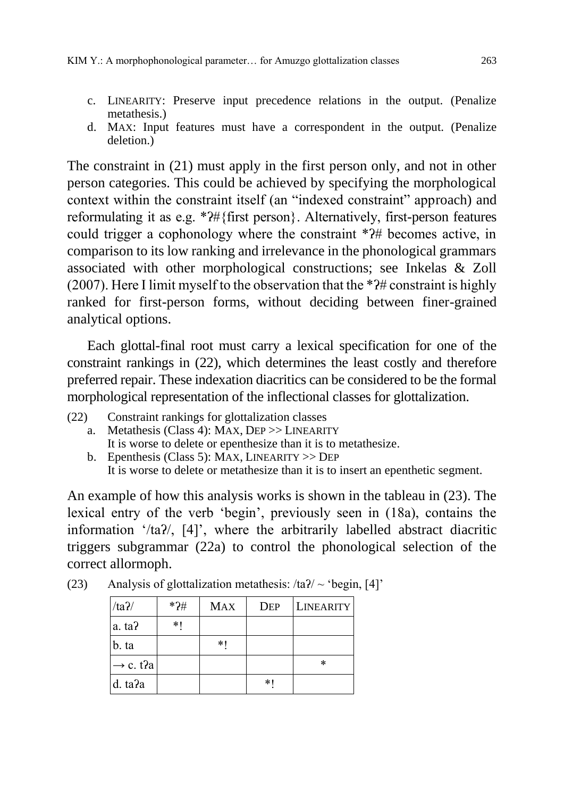- c. LINEARITY: Preserve input precedence relations in the output. (Penalize metathesis.)
- d. MAX: Input features must have a correspondent in the output. (Penalize deletion.)

The constraint in (21) must apply in the first person only, and not in other person categories. This could be achieved by specifying the morphological context within the constraint itself (an "indexed constraint" approach) and reformulating it as e.g. \*ʔ#{first person}. Alternatively, first-person features could trigger a cophonology where the constraint \*ʔ# becomes active, in comparison to its low ranking and irrelevance in the phonological grammars associated with other morphological constructions; see Inkelas & Zoll (2007). Here I limit myself to the observation that the \*ʔ# constraint is highly ranked for first-person forms, without deciding between finer-grained analytical options.

Each glottal-final root must carry a lexical specification for one of the constraint rankings in (22), which determines the least costly and therefore preferred repair. These indexation diacritics can be considered to be the formal morphological representation of the inflectional classes for glottalization.

- (22) Constraint rankings for glottalization classes
	- a. Metathesis (Class 4): MAX, DEP >> LINEARITY It is worse to delete or epenthesize than it is to metathesize.
	- b. Epenthesis (Class 5): MAX, LINEARITY >> DEP It is worse to delete or metathesize than it is to insert an epenthetic segment.

An example of how this analysis works is shown in the tableau in (23). The lexical entry of the verb 'begin', previously seen in (18a), contains the information '/taʔ/, [4]', where the arbitrarily labelled abstract diacritic triggers subgrammar (22a) to control the phonological selection of the correct allormoph.

| $/ta$ ?/             | $*2#$ | <b>MAX</b> | <b>DEP</b> | <b>LINEARITY</b> |
|----------------------|-------|------------|------------|------------------|
| a. ta?               | $*1$  |            |            |                  |
| b. ta                |       | $*1$       |            |                  |
| $\rightarrow$ c. t?a |       |            |            | ∗                |
| d. ta?a              |       |            | $*1$       |                  |

(23) Analysis of glottalization metathesis:  $/ta$  $/ \sim$  'begin, [4]'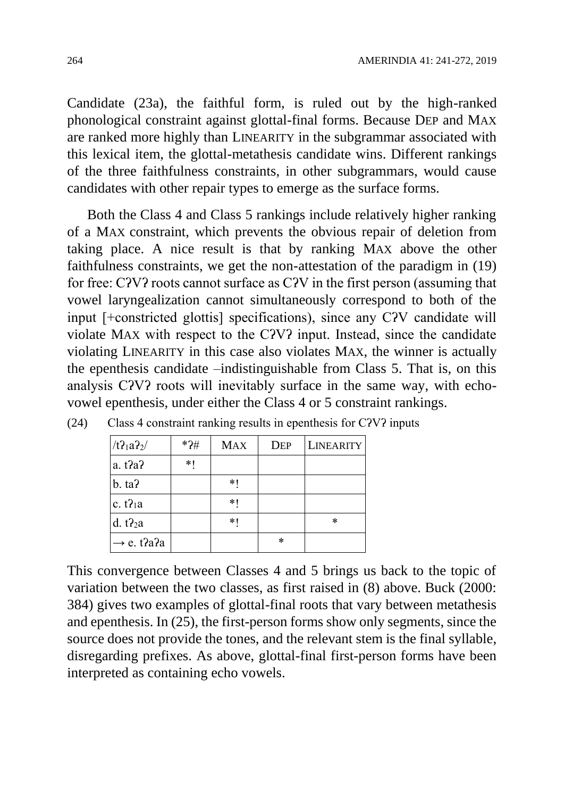Candidate (23a), the faithful form, is ruled out by the high-ranked phonological constraint against glottal-final forms. Because DEP and MAX are ranked more highly than LINEARITY in the subgrammar associated with this lexical item, the glottal-metathesis candidate wins. Different rankings of the three faithfulness constraints, in other subgrammars, would cause candidates with other repair types to emerge as the surface forms.

Both the Class 4 and Class 5 rankings include relatively higher ranking of a MAX constraint, which prevents the obvious repair of deletion from taking place. A nice result is that by ranking MAX above the other faithfulness constraints, we get the non-attestation of the paradigm in (19) for free: CʔVʔ roots cannot surface as CʔV in the first person (assuming that vowel laryngealization cannot simultaneously correspond to both of the input [+constricted glottis] specifications), since any CʔV candidate will violate MAX with respect to the CʔVʔ input. Instead, since the candidate violating LINEARITY in this case also violates MAX, the winner is actually the epenthesis candidate –indistinguishable from Class 5. That is, on this analysis CʔVʔ roots will inevitably surface in the same way, with echovowel epenthesis, under either the Class 4 or 5 constraint rankings.

| /t2 <sub>1</sub> a2 <sub>2</sub> | $*2#$ | <b>MAX</b> | <b>DEP</b> | <b>LINEARITY</b> |
|----------------------------------|-------|------------|------------|------------------|
| a. t2a2                          | *1    |            |            |                  |
| $b. \text{ta}$                   |       | *1         |            |                  |
| c. $t$ $\lambda$ <sub>1</sub> a  |       | *1         |            |                  |
| d. $t$ $2a$                      |       | *1         |            | ∗                |
| $\rightarrow$ e. t?a?a           |       |            | ∗          |                  |

(24) Class 4 constraint ranking results in epenthesis for CʔVʔ inputs

This convergence between Classes 4 and 5 brings us back to the topic of variation between the two classes, as first raised in (8) above. Buck (2000: 384) gives two examples of glottal-final roots that vary between metathesis and epenthesis. In (25), the first-person forms show only segments, since the source does not provide the tones, and the relevant stem is the final syllable, disregarding prefixes. As above, glottal-final first-person forms have been interpreted as containing echo vowels.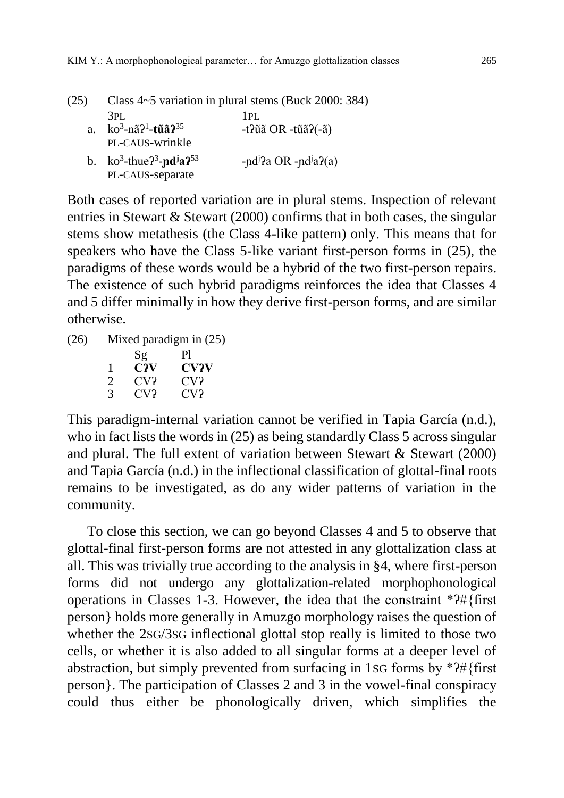| (25)        | Class 4~5 variation in plural stems (Buck 2000: 384) |                                               |  |  |
|-------------|------------------------------------------------------|-----------------------------------------------|--|--|
|             | 3PL                                                  | 1PI.                                          |  |  |
| $a_{\cdot}$ | $ko^3$ -nã? <sup>1</sup> -t <b>ũã?</b> <sup>35</sup> | -t? $\tilde{u}$ ã OR -t $\tilde{u}$ ã?(-ã)    |  |  |
|             | PL-CAUS-wrinkle                                      |                                               |  |  |
|             | b. $ko^3$ -thue $2^3$ -nd <sup>j</sup> a $2^{53}$    | -nd <sup>j</sup> ?a OR -nd <sup>j</sup> a?(a) |  |  |
|             | PL-CAUS-separate                                     |                                               |  |  |

Both cases of reported variation are in plural stems. Inspection of relevant entries in Stewart & Stewart (2000) confirms that in both cases, the singular stems show metathesis (the Class 4-like pattern) only. This means that for speakers who have the Class 5-like variant first-person forms in (25), the paradigms of these words would be a hybrid of the two first-person repairs. The existence of such hybrid paradigms reinforces the idea that Classes 4 and 5 differ minimally in how they derive first-person forms, and are similar otherwise.

(26) Mixed paradigm in (25)

|   | Sg  | Pl          |
|---|-----|-------------|
| 1 | C?V | <b>CV?V</b> |
| 2 | CV? | CV?         |
| 3 | CV? | CV?         |

This paradigm-internal variation cannot be verified in Tapia García (n.d.), who in fact lists the words in (25) as being standardly Class 5 across singular and plural. The full extent of variation between Stewart  $&$  Stewart (2000) and Tapia García (n.d.) in the inflectional classification of glottal-final roots remains to be investigated, as do any wider patterns of variation in the community.

To close this section, we can go beyond Classes 4 and 5 to observe that glottal-final first-person forms are not attested in any glottalization class at all. This was trivially true according to the analysis in §4, where first-person forms did not undergo any glottalization-related morphophonological operations in Classes 1-3. However, the idea that the constraint \*ʔ#{first person} holds more generally in Amuzgo morphology raises the question of whether the 2SG/3SG inflectional glottal stop really is limited to those two cells, or whether it is also added to all singular forms at a deeper level of abstraction, but simply prevented from surfacing in 1SG forms by \*ʔ#{first person}. The participation of Classes 2 and 3 in the vowel-final conspiracy could thus either be phonologically driven, which simplifies the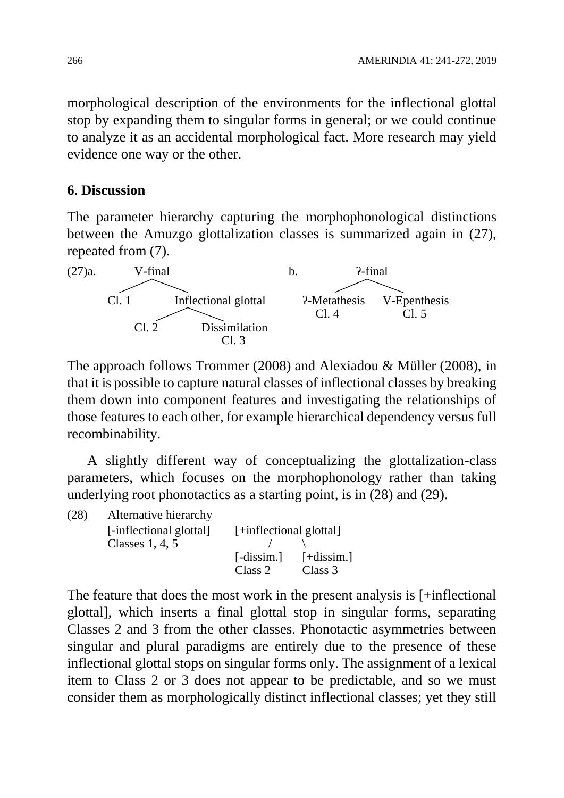morphological description of the environments for the inflectional glottal stop by expanding them to singular forms in general; or we could continue to analyze it as an accidental morphological fact. More research may yield evidence one way or the other.

## **6. Discussion**

The parameter hierarchy capturing the morphophonological distinctions between the Amuzgo glottalization classes is summarized again in (27), repeated from (7).



The approach follows Trommer (2008) and Alexiadou & Müller (2008), in that it is possible to capture natural classes of inflectional classes by breaking them down into component features and investigating the relationships of those features to each other, for example hierarchical dependency versus full recombinability.

A slightly different way of conceptualizing the glottalization-class parameters, which focuses on the morphophonology rather than taking underlying root phonotactics as a starting point, is in (28) and (29).

| (28) | Alternative hierarchy   |                         |              |
|------|-------------------------|-------------------------|--------------|
|      | [-inflectional glottal] | [+inflectional glottal] |              |
|      | Classes $1, 4, 5$       |                         |              |
|      |                         | $[-dissim.]$            | $[-dissim.]$ |
|      |                         | Class 2                 | Class 3      |

The feature that does the most work in the present analysis is [+inflectional glottal], which inserts a final glottal stop in singular forms, separating Classes 2 and 3 from the other classes. Phonotactic asymmetries between singular and plural paradigms are entirely due to the presence of these inflectional glottal stops on singular forms only. The assignment of a lexical item to Class 2 or 3 does not appear to be predictable, and so we must consider them as morphologically distinct inflectional classes; yet they still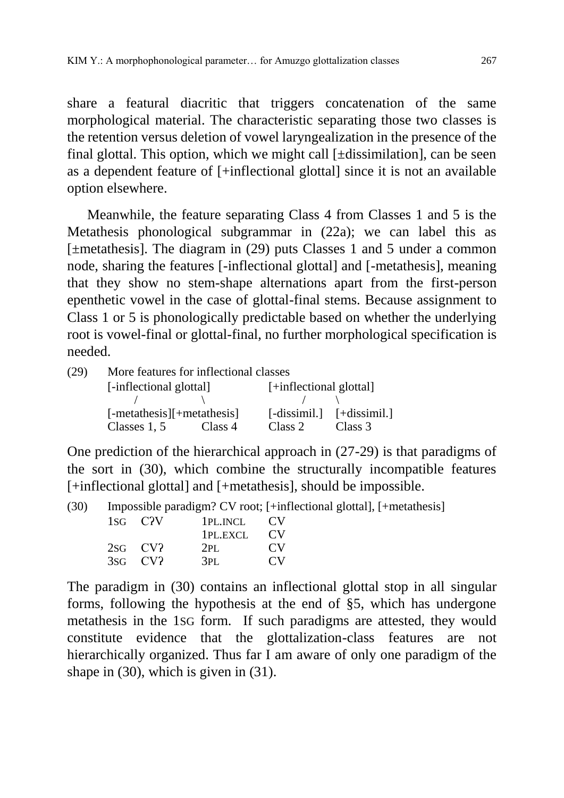share a featural diacritic that triggers concatenation of the same morphological material. The characteristic separating those two classes is the retention versus deletion of vowel laryngealization in the presence of the final glottal. This option, which we might call [±dissimilation], can be seen as a dependent feature of [+inflectional glottal] since it is not an available option elsewhere.

Meanwhile, the feature separating Class 4 from Classes 1 and 5 is the Metathesis phonological subgrammar in (22a); we can label this as [±metathesis]. The diagram in (29) puts Classes 1 and 5 under a common node, sharing the features [-inflectional glottal] and [-metathesis], meaning that they show no stem-shape alternations apart from the first-person epenthetic vowel in the case of glottal-final stems. Because assignment to Class 1 or 5 is phonologically predictable based on whether the underlying root is vowel-final or glottal-final, no further morphological specification is needed.

| More features for inflectional classes |         |                                                         |                                                                       |  |  |  |
|----------------------------------------|---------|---------------------------------------------------------|-----------------------------------------------------------------------|--|--|--|
|                                        |         | [+inflectional glottal]                                 |                                                                       |  |  |  |
|                                        |         |                                                         |                                                                       |  |  |  |
|                                        |         |                                                         | $\lceil - \text{dissimil.} \rceil$ $\lceil + \text{dissimil.} \rceil$ |  |  |  |
| Classes $1, 5$                         | Class 4 | Class 2                                                 | Class 3                                                               |  |  |  |
|                                        |         | [-inflectional glottal]<br>$[-metathesis]]+metathesis]$ |                                                                       |  |  |  |

One prediction of the hierarchical approach in (27-29) is that paradigms of the sort in (30), which combine the structurally incompatible features [+inflectional glottal] and [+metathesis], should be impossible.

| (30) |  | Impossible paradigm? CV root; [+inflectional glottal], [+metathesis] |  |
|------|--|----------------------------------------------------------------------|--|
|      |  |                                                                      |  |

| $1SG$ $C2V$  | 1PL.INCL | CV.            |
|--------------|----------|----------------|
|              | 1PL.EXCL | $\alpha$       |
| $2SG$ CV?    | 2PI.     | CV <sub></sub> |
| $3sG$ CV $2$ | 3PI.     | $\alpha$       |

The paradigm in (30) contains an inflectional glottal stop in all singular forms, following the hypothesis at the end of §5, which has undergone metathesis in the 1SG form. If such paradigms are attested, they would constitute evidence that the glottalization-class features are not hierarchically organized. Thus far I am aware of only one paradigm of the shape in (30), which is given in (31).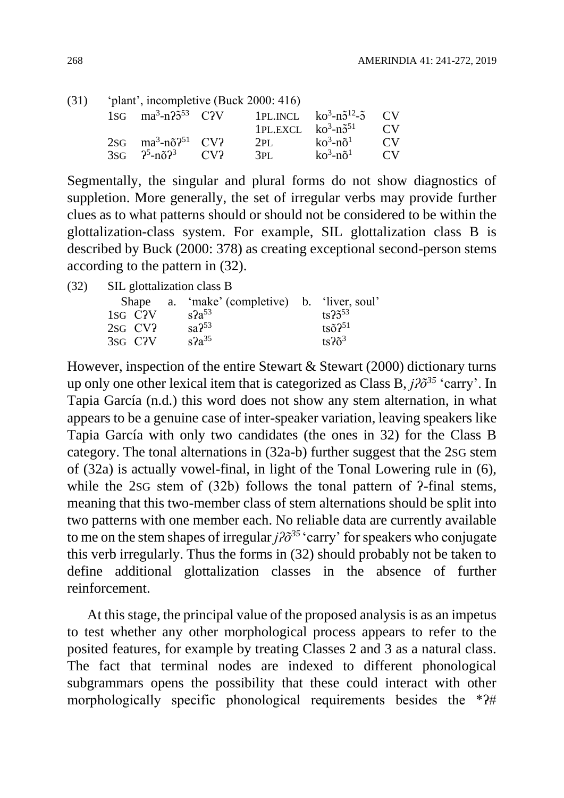| (31) | 'plant', incompletive (Buck 2000: 416)      |  |                                                                                      |                          |          |  |  |
|------|---------------------------------------------|--|--------------------------------------------------------------------------------------|--------------------------|----------|--|--|
|      |                                             |  | $1SG$ ma <sup>3</sup> -n? $5^{53}$ C?V 1PL.INCL ko <sup>3</sup> -n $5^{12}$ - $5$ CV |                          |          |  |  |
|      |                                             |  | 1PL.EXCL $ko^3-n\tilde{5}^{51}$                                                      |                          | $\Gamma$ |  |  |
|      | $2SG$ ma <sup>3</sup> -no <sup>31</sup> CV? |  | 2PI                                                                                  | $k_0^3$ -nõ $^1$         | $\Gamma$ |  |  |
|      | $3SG \t 2^5 - n\delta 2^3 \t CV2$           |  | 3PI <sub>1</sub>                                                                     | $k_0^3$ -nõ <sup>1</sup> | $\Gamma$ |  |  |

Segmentally, the singular and plural forms do not show diagnostics of suppletion. More generally, the set of irregular verbs may provide further clues as to what patterns should or should not be considered to be within the glottalization-class system. For example, SIL glottalization class B is described by Buck (2000: 378) as creating exceptional second-person stems according to the pattern in (32).

(32) SIL glottalization class B

|                      | Shape a. 'make' (completive) b. 'liver, soul' |                       |
|----------------------|-----------------------------------------------|-----------------------|
| 1sg C <sub>2</sub> V | $s^2a^{53}$                                   | $ts25^{53}$           |
| 2sg CV?              | sa <sup>53</sup>                              | $ts\tilde{o}2^{51}$   |
| 3sg C <sub>2</sub> V | $s2a^{35}$                                    | $ts2\tilde{\sigma}^3$ |

However, inspection of the entire Stewart & Stewart (2000) dictionary turns up only one other lexical item that is categorized as Class B, *jʔõ<sup>35</sup>* 'carry'. In Tapia García (n.d.) this word does not show any stem alternation, in what appears to be a genuine case of inter-speaker variation, leaving speakers like Tapia García with only two candidates (the ones in 32) for the Class B category. The tonal alternations in (32a-b) further suggest that the 2SG stem of (32a) is actually vowel-final, in light of the Tonal Lowering rule in (6), while the 2sG stem of (32b) follows the tonal pattern of  $\lambda$ -final stems, meaning that this two-member class of stem alternations should be split into two patterns with one member each. No reliable data are currently available to me on the stem shapes of irregular  $j\partial\tilde{\sigma}^{35}$  'carry' for speakers who conjugate this verb irregularly. Thus the forms in (32) should probably not be taken to define additional glottalization classes in the absence of further reinforcement.

At this stage, the principal value of the proposed analysis is as an impetus to test whether any other morphological process appears to refer to the posited features, for example by treating Classes 2 and 3 as a natural class. The fact that terminal nodes are indexed to different phonological subgrammars opens the possibility that these could interact with other morphologically specific phonological requirements besides the \* $?$ #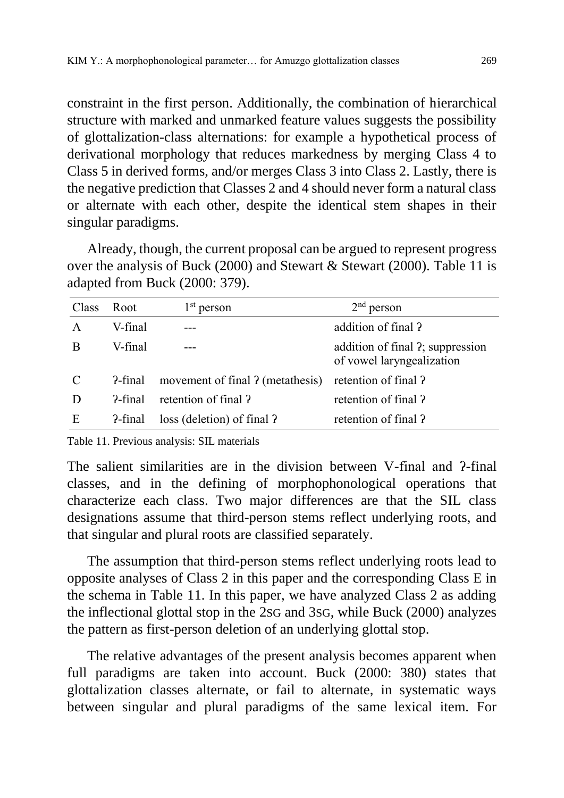constraint in the first person. Additionally, the combination of hierarchical structure with marked and unmarked feature values suggests the possibility of glottalization-class alternations: for example a hypothetical process of derivational morphology that reduces markedness by merging Class 4 to Class 5 in derived forms, and/or merges Class 3 into Class 2. Lastly, there is the negative prediction that Classes 2 and 4 should never form a natural class or alternate with each other, despite the identical stem shapes in their singular paradigms.

Already, though, the current proposal can be argued to represent progress over the analysis of Buck (2000) and Stewart & Stewart (2000). Table 11 is adapted from Buck (2000: 379).

| Class       | Root    | $1st$ person                     | $2nd$ person                                                  |
|-------------|---------|----------------------------------|---------------------------------------------------------------|
| A           | V-final |                                  | addition of final?                                            |
| B           | V-final |                                  | addition of final ?; suppression<br>of vowel laryngealization |
| $\mathbf C$ | ?-final | movement of final ? (metathesis) | retention of final?                                           |
| D           | 2-final | retention of final ?             | retention of final?                                           |
| E           | ?-final | loss (deletion) of final ?       | retention of final ?                                          |

Table 11. Previous analysis: SIL materials

The salient similarities are in the division between V-final and  $\alpha$ -final classes, and in the defining of morphophonological operations that characterize each class. Two major differences are that the SIL class designations assume that third-person stems reflect underlying roots, and that singular and plural roots are classified separately.

The assumption that third-person stems reflect underlying roots lead to opposite analyses of Class 2 in this paper and the corresponding Class E in the schema in Table 11. In this paper, we have analyzed Class 2 as adding the inflectional glottal stop in the 2SG and 3SG, while Buck (2000) analyzes the pattern as first-person deletion of an underlying glottal stop.

The relative advantages of the present analysis becomes apparent when full paradigms are taken into account. Buck (2000: 380) states that glottalization classes alternate, or fail to alternate, in systematic ways between singular and plural paradigms of the same lexical item. For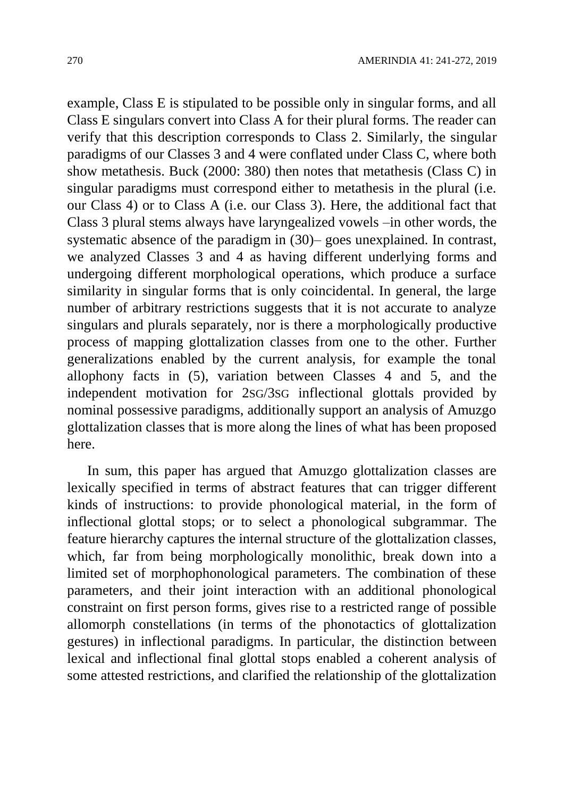example, Class E is stipulated to be possible only in singular forms, and all Class E singulars convert into Class A for their plural forms. The reader can verify that this description corresponds to Class 2. Similarly, the singular paradigms of our Classes 3 and 4 were conflated under Class C, where both show metathesis. Buck (2000: 380) then notes that metathesis (Class C) in singular paradigms must correspond either to metathesis in the plural (i.e. our Class 4) or to Class A (i.e. our Class 3). Here, the additional fact that Class 3 plural stems always have laryngealized vowels –in other words, the systematic absence of the paradigm in (30)– goes unexplained. In contrast, we analyzed Classes 3 and 4 as having different underlying forms and undergoing different morphological operations, which produce a surface similarity in singular forms that is only coincidental. In general, the large number of arbitrary restrictions suggests that it is not accurate to analyze singulars and plurals separately, nor is there a morphologically productive process of mapping glottalization classes from one to the other. Further generalizations enabled by the current analysis, for example the tonal allophony facts in (5), variation between Classes 4 and 5, and the independent motivation for 2SG/3SG inflectional glottals provided by nominal possessive paradigms, additionally support an analysis of Amuzgo glottalization classes that is more along the lines of what has been proposed here.

In sum, this paper has argued that Amuzgo glottalization classes are lexically specified in terms of abstract features that can trigger different kinds of instructions: to provide phonological material, in the form of inflectional glottal stops; or to select a phonological subgrammar. The feature hierarchy captures the internal structure of the glottalization classes, which, far from being morphologically monolithic, break down into a limited set of morphophonological parameters. The combination of these parameters, and their joint interaction with an additional phonological constraint on first person forms, gives rise to a restricted range of possible allomorph constellations (in terms of the phonotactics of glottalization gestures) in inflectional paradigms. In particular, the distinction between lexical and inflectional final glottal stops enabled a coherent analysis of some attested restrictions, and clarified the relationship of the glottalization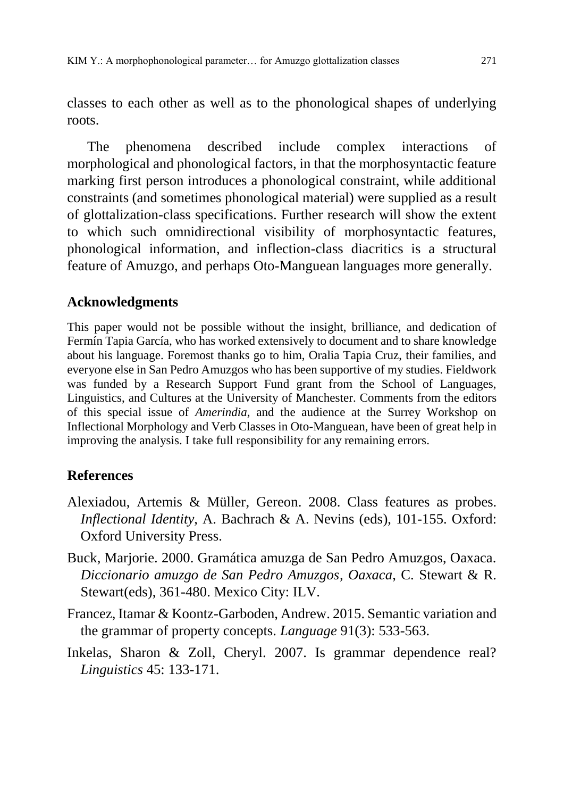classes to each other as well as to the phonological shapes of underlying roots.

The phenomena described include complex interactions of morphological and phonological factors, in that the morphosyntactic feature marking first person introduces a phonological constraint, while additional constraints (and sometimes phonological material) were supplied as a result of glottalization-class specifications. Further research will show the extent to which such omnidirectional visibility of morphosyntactic features, phonological information, and inflection-class diacritics is a structural feature of Amuzgo, and perhaps Oto-Manguean languages more generally.

## **Acknowledgments**

This paper would not be possible without the insight, brilliance, and dedication of Fermín Tapia García, who has worked extensively to document and to share knowledge about his language. Foremost thanks go to him, Oralia Tapia Cruz, their families, and everyone else in San Pedro Amuzgos who has been supportive of my studies. Fieldwork was funded by a Research Support Fund grant from the School of Languages, Linguistics, and Cultures at the University of Manchester. Comments from the editors of this special issue of *Amerindia*, and the audience at the Surrey Workshop on Inflectional Morphology and Verb Classes in Oto-Manguean, have been of great help in improving the analysis. I take full responsibility for any remaining errors.

#### **References**

- Alexiadou, Artemis & Müller, Gereon. 2008. Class features as probes. *Inflectional Identity*, A. Bachrach & A. Nevins (eds), 101-155. Oxford: Oxford University Press.
- Buck, Marjorie. 2000. Gramática amuzga de San Pedro Amuzgos, Oaxaca. *Diccionario amuzgo de San Pedro Amuzgos, Oaxaca*, C. Stewart & R. Stewart(eds), 361-480. Mexico City: ILV.
- Francez, Itamar & Koontz-Garboden, Andrew. 2015. Semantic variation and the grammar of property concepts. *Language* 91(3): 533-563.
- Inkelas, Sharon & Zoll, Cheryl. 2007. Is grammar dependence real? *Linguistics* 45: 133-171.